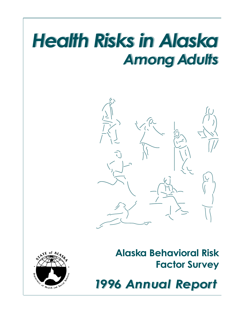# Health Risks in Alaska Health Risks in Alaska Among Adults Among Adults



# Alaska Behavioral Risk Factor Survey



1996 Annual Report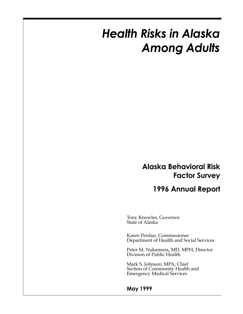# Health Risks in Alaska Among Adults

## Alaska Behavioral Risk Factor Survey

## 1996 Annual Report

Tony Knowles, Governor State of Alaska

Karen Perdue, Commissioner Department of Health and Social Services

Peter M. Nakamura, MD, MPH, Director Division of Public Health

Mark S. Johnson, MPA, Chief Section of Community Health and Emergency Medical Services

#### May 1999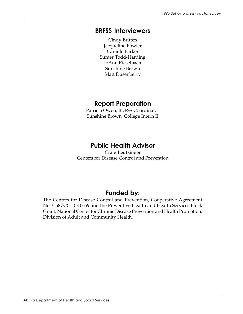#### BRFSS Interviewers

Cindy Britten Jacqueline Fowler Camille Parker Sumer Todd-Harding JoAnn Rieselbach Sunshine Brown Matt Dusenberry

## Report Preparation

Patricia Owen, BRFSS Coordinator Sunshine Brown, College Intern II

## Public Health Advisor

Craig Leutzinger Centers for Disease Control and Prevention

## Funded by:

The Centers for Disease Control and Prevention, Cooperative Agreement No. U58/CCUO10659 and the Preventive Health and Health Services Block Grant, National Center for Chronic Disease Prevention and Health Promotion, Division of Adult and Community Health.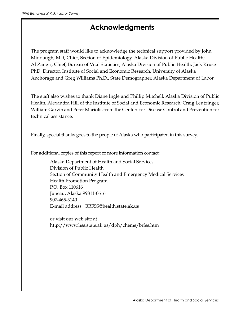## Acknowledgments

The program staff would like to acknowledge the technical support provided by John Middaugh, MD, Chief, Section of Epidemiology, Alaska Division of Public Health; Al Zangri, Chief, Bureau of Vital Statistics, Alaska Division of Public Health; Jack Kruse PhD, Director, Institute of Social and Economic Research, University of Alaska Anchorage and Greg Williams Ph.D., State Demographer, Alaska Department of Labor.

The staff also wishes to thank Diane Ingle and Phillip Mitchell, Alaska Division of Public Health; Alexandra Hill of the Institute of Social and Economic Research; Craig Leutzinger, William Garvin and Peter Mariolis from the Centers for Disease Control and Prevention for technical assistance.

Finally, special thanks goes to the people of Alaska who participated in this survey.

For additional copies of this report or more information contact:

Alaska Department of Health and Social Services Division of Public Health Section of Community Health and Emergency Medical Services Health Promotion Program P.O. Box 110616 Juneau, Alaska 99811-0616 907-465-3140 E-mail address: BRFSS@health.state.ak.us

or visit our web site at http://www.hss.state.ak.us/dph/chems/brfss.htm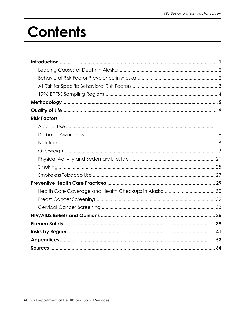# **Contents**

| <b>Risk Factors</b> |  |
|---------------------|--|
|                     |  |
|                     |  |
|                     |  |
|                     |  |
|                     |  |
|                     |  |
|                     |  |
|                     |  |
|                     |  |
|                     |  |
|                     |  |
|                     |  |
|                     |  |
|                     |  |
|                     |  |
|                     |  |
|                     |  |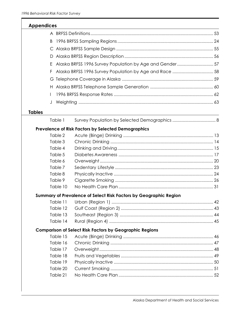ſ

| <b>Appendices</b> |                                                                   |  |
|-------------------|-------------------------------------------------------------------|--|
|                   |                                                                   |  |
| B                 |                                                                   |  |
|                   |                                                                   |  |
| D                 |                                                                   |  |
| E.                | Alaska BRFSS 1996 Survey Population by Age and Gender57           |  |
| F.                | Alaska BRFSS 1996 Survey Population by Age and Race  58           |  |
|                   |                                                                   |  |
|                   |                                                                   |  |
|                   |                                                                   |  |
| J                 |                                                                   |  |
| <b>Tables</b>     |                                                                   |  |
| Table 1           |                                                                   |  |
|                   | Prevalence of Risk Factors by Selected Demographics               |  |
| Table 2           |                                                                   |  |
| Table 3           |                                                                   |  |
| Table 4           |                                                                   |  |
| Table 5           |                                                                   |  |
| Table 6           |                                                                   |  |
| Table 7           |                                                                   |  |
| Table 8           |                                                                   |  |
| Table 9           |                                                                   |  |
| Table 10          |                                                                   |  |
|                   | Summary of Prevalence of Select Risk Factors by Geographic Region |  |
| Table 11          |                                                                   |  |
| Table 12          |                                                                   |  |
| Table 13          |                                                                   |  |
| Table 14          |                                                                   |  |
|                   | <b>Comparison of Select Risk Factors by Geographic Regions</b>    |  |
| Table 15          |                                                                   |  |
| Table 16          |                                                                   |  |
| Table 17          |                                                                   |  |
| Table 18          |                                                                   |  |
| Table 19          |                                                                   |  |
| Table 20          |                                                                   |  |
| Table 21          |                                                                   |  |
|                   |                                                                   |  |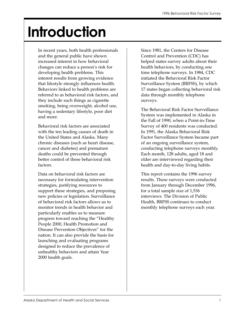# Introduction

In recent years, both health professionals and the general public have shown increased interest in how behavioral changes can reduce a person's risk for developing health problems. This interest results from growing evidence that lifestyle strongly influences health. Behaviors linked to health problems are referred to as behavioral risk factors, and they include such things as cigarette smoking, being overweight, alcohol use, having a sedentary lifestyle, poor diet and more.

Behavioral risk factors are associated with the ten leading causes of death in the United States and Alaska. Many chronic diseases (such as heart disease, cancer and diabetes) and premature deaths could be prevented through better control of these behavioral risk factors.

Data on behavioral risk factors are necessary for formulating intervention strategies, justifying resources to support these strategies, and proposing new policies or legislation. Surveillance of behavioral risk factors allows us to monitor trends in health behavior and particularly enables us to measure progress toward reaching the "Healthy People 2000, Health Promotion and Disease Prevention Objectives" for the nation. It can also provide the basis for launching and evaluating programs designed to reduce the prevalence of unhealthy behaviors and attain Year 2000 health goals.

Since 1981, the Centers for Disease Control and Prevention (CDC) has helped states survey adults about their health behaviors, by conducting one time telephone surveys. In 1984, CDC initiated the Behavioral Risk Factor Surveillance System (BRFSS), by which 17 states began collecting behavioral risk data through monthly telephone surveys.

The Behavioral Risk Factor Surveillance System was implemented in Alaska in the Fall of 1990, when a Point-in-Time Survey of 400 residents was conducted. In 1991, the Alaska Behavioral Risk Factor Surveillance System became part of an ongoing surveillance system, conducting telephone surveys monthly. Each month, 128 adults, aged 18 and older are interviewed regarding their health and day-to-day living habits.

This report contains the 1996 survey results. These surveys were conducted from January through December 1996, for a total sample size of 1,536 interviews. The Division of Public Health, BRFSS continues to conduct monthly telephone surveys each year.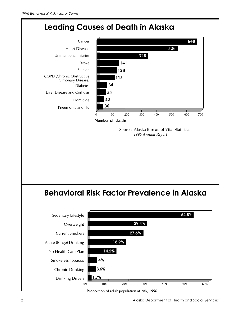

Proportion of adult population at risk, 1996

0% 50% 60% 10% 30% 20% 40%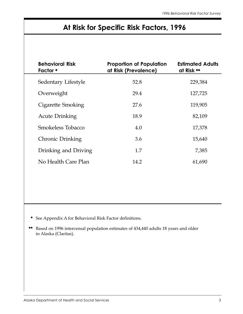# At Risk for Specific Risk Factors, 1996

| <b>Behavioral Risk</b><br><b>Factor</b> $\bullet$ | <b>Proportion of Population</b><br>at Risk (Prevalence) | <b>Estimated Adults</b><br>at Risk ** |
|---------------------------------------------------|---------------------------------------------------------|---------------------------------------|
| Sedentary Lifestyle                               | 52.8                                                    | 229,384                               |
| Overweight                                        | 29.4                                                    | 127,725                               |
| Cigarette Smoking                                 | 27.6                                                    | 119,905                               |
| <b>Acute Drinking</b>                             | 18.9                                                    | 82,109                                |
| Smokeless Tobacco                                 | 4.0                                                     | 17,378                                |
| Chronic Drinking                                  | 3.6                                                     | 15,640                                |
| Drinking and Driving                              | 1.7                                                     | 7,385                                 |
| No Health Care Plan                               | 14.2                                                    | 61,690                                |

◆ See Appendix A for Behavioral Risk Factor definitions.

◆◆ Based on 1996 intercensal population estimates of 434,440 adults 18 years and older in Alaska (Claritas).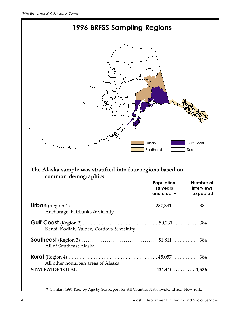

|                                           | Population<br>18 years<br>and older $\bullet$ | Number of<br>interviews<br>expected |
|-------------------------------------------|-----------------------------------------------|-------------------------------------|
| Anchorage, Fairbanks & vicinity           |                                               |                                     |
| Kenai, Kodiak, Valdez, Cordova & vicinity |                                               |                                     |
| All of Southeast Alaska                   |                                               |                                     |
| All other nonurban areas of Alaska        |                                               |                                     |
|                                           |                                               |                                     |

◆ Claritas. 1996 Race by Age by Sex Report for All Counties Nationwide. Ithaca, New York.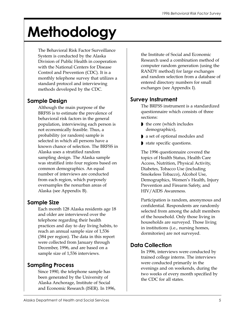# Methodology

The Behavioral Risk Factor Surveillance System is conducted by the Alaska Division of Public Health in cooperation with the National Centers for Disease Control and Prevention (CDC). It is a monthly telephone survey that utilizes a standard protocol and interviewing methods developed by the CDC.

### Sample Design

Although the main purpose of the BRFSS is to estimate the prevalence of behavioral risk factors in the general population, interviewing each person is not economically feasible. Thus, a probability (or random) sample is selected in which all persons have a known chance of selection. The BRFSS in Alaska uses a stratified random sampling design. The Alaska sample was stratified into four regions based on common demographics. An equal number of interviews are conducted from each region, which purposely oversamples the nonurban areas of Alaska (see Appendix B).

## Sample Size

Each month 128 Alaska residents age 18 and older are interviewed over the telephone regarding their health practices and day to day living habits, to reach an annual sample size of 1,536 (384 per region). The data in this report were collected from January through December, 1996, and are based on a sample size of 1,536 interviews.

## Sampling Process

Since 1990, the telephone sample has been generated by the University of Alaska Anchorage, Institute of Social and Economic Research (ISER). In 1996, the Institute of Social and Economic Research used a combination method of computer random generation (using the RANDY method) for large exchanges and random selection from a database of entered directory numbers for small exchanges (see Appendix I).

## Survey Instrument

The BRFSS instrument is a standardized questionnaire which consists of three sections:

- ◗ the core (which includes demographics),
- ◗ a set of optional modules and
- state specific questions.

The 1996 questionnaire covered the topics of Health Status, Health Care Access, Nutrition, Physical Activity, Diabetes, Tobacco Use (including Smokeless Tobacco), Alcohol Use, Demographics, Women's Health, Injury Prevention and Firearm Safety, and HIV/AIDS Awareness.

Participation is random, anonymous and confidential. Respondents are randomly selected from among the adult members of the household. Only those living in households are surveyed. Those living in institutions (i.e., nursing homes, dormitories) are not surveyed.

## Data Collection

In 1996, interviews were conducted by trained college interns. The interviews were conducted primarily in the evenings and on weekends, during the two weeks of every month specified by the CDC for all states.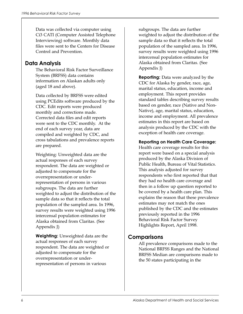Data was collected via computer using Ci3 CATI (Computer Assisted Telephone Interviewing) software. Monthly data files were sent to the Centers for Disease Control and Prevention.

#### Data Analysis

The Behavioral Risk Factor Surveillance System (BRFSS) data contains information on Alaskan adults only (aged 18 and above).

Data collected by BRFSS were edited using PCEdits software produced by the CDC. Edit reports were produced monthly and corrections made. Corrected data files and edit reports were sent to the CDC monthly. At the end of each survey year, data are compiled and weighted by CDC, and cross tabulations and prevalence reports are prepared.

Weighting: Unweighted data are the actual responses of each survey respondent. The data are weighted or adjusted to compensate for the overrepresentation or underrepresentation of persons in various subgroups. The data are further weighted to adjust the distribution of the sample data so that it reflects the total population of the sampled area. In 1996, survey results were weighted using 1996 intercensal population estimates for Alaska obtained from Claritas. (See Appendix J)

Weighting: Unweighted data are the actual responses of each survey respondent. The data are weighted or adjusted to compensate for the overrepresentation or underrepresentation of persons in various

subgroups. The data are further weighted to adjust the distribution of the sample data so that it reflects the total population of the sampled area. In 1996, survey results were weighted using 1996 intercensal population estimates for Alaska obtained from Claritas. (See Appendix J)

**Reporting:** Data were analyzed by the CDC for Alaska by gender, race, age, marital status, education, income and employment. This report provides standard tables describing survey results based on gender, race (Native and Non-Native), age, marital status, education, income and employment. All prevalence estimates in this report are based on analysis produced by the CDC with the exception of health care coverage.

#### Reporting on Health Care Coverage:

Health care coverage results for this report were based on a special analysis produced by the Alaska Division of Public Health, Bureau of Vital Statistics. This analysis adjusted for survey respondents who first reported that that they had no health care coverage and then in a follow up question reported to be covered by a health care plan. This explains the reason that these prevalence estimates may not match the ones published by the CDC and the estimates previously reported in the 1996 Behavioral Risk Factor Survey Highlights Report, April 1998.

#### **Comparisons**

All prevalence comparisons made to the National BRFSS Ranges and the National BRFSS Median are comparisons made to the 50 states participating in the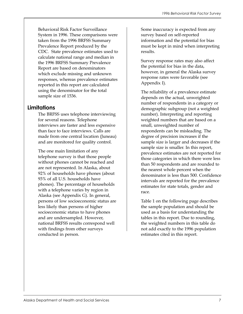Behavioral Risk Factor Surveillance System in 1996. These comparisons were taken from the 1996 BRFSS Summary Prevalence Report produced by the CDC. State prevalence estimates used to calculate national range and median in the 1996 BRFSS Summary Prevalence Report are based on denominators which exclude missing and unknown responses, whereas prevalence estimates reported in this report are calculated using the denominator for the total sample size of 1536.

#### Limitations

The BRFSS uses telephone interviewing for several reasons. Telephone interviews are faster and less expensive than face to face interviews. Calls are made from one central location (Juneau) and are monitored for quality control.

The one main limitation of any telephone survey is that those people without phones cannot be reached and are not represented. In Alaska, about 92% of households have phones (about 93% of all U.S. households have phones). The percentage of households with a telephone varies by region in Alaska (see Appendix G). In general, persons of low socioeconomic status are less likely than persons of higher socioeconomic status to have phones and are undersampled. However, national BRFSS results correspond well with findings from other surveys conducted in person.

Some inaccuracy is expected from any survey based on self-reported information and the potential for bias must be kept in mind when interpreting results.

Survey response rates may also affect the potential for bias in the data, however, in general the Alaska survey response rates were favorable (see Appendix I).

The reliability of a prevalence estimate depends on the actual, unweighted number of respondents in a category or demographic subgroup (not a weighted number). Interpreting and reporting weighted numbers that are based on a small, unweighted number of respondents can be misleading. The degree of precision increases if the sample size is larger and decreases if the sample size is smaller. In this report, prevalence estimates are not reported for those categories in which there were less than 50 respondents and are rounded to the nearest whole percent when the denominator is less than 500. Confidence intervals are reported for the prevalence estimates for state totals, gender and race.

Table 1 on the following page describes the sample population and should be used as a basis for understanding the tables in this report. Due to rounding, the weighted numbers in this table do not add exactly to the 1996 population estimates cited in this report.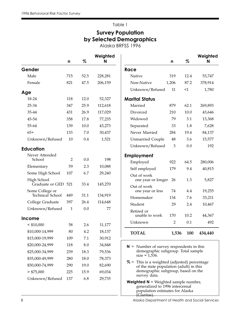## Survey Population by Selected Demographics

Alaska BRFSS 1996

|                                            | n              | %    | Weighted<br>N |                                                                                                                                | n              | $\%$     | Weighted<br>N |
|--------------------------------------------|----------------|------|---------------|--------------------------------------------------------------------------------------------------------------------------------|----------------|----------|---------------|
| Gender                                     |                |      |               | Race                                                                                                                           |                |          |               |
| Male                                       | 715            | 52.5 | 228,281       | Native                                                                                                                         | 319            | 12.4     | 53,747        |
| Female                                     | 821            | 47.5 | 206,159       | Non-Native                                                                                                                     | 1,206          | 87.2     | 378,914       |
| Age                                        |                |      |               | Unknown/Refused                                                                                                                | 11             | $\leq$ 1 | 1,780         |
| 18-24                                      | 118            | 12.0 | 52,327        | <b>Marital Status</b>                                                                                                          |                |          |               |
| 25-34                                      | 347            | 25.9 | 112,618       | Married                                                                                                                        | 879            | 62.1     | 269,893       |
| 35-44                                      | 431            | 26.9 | 117,029       | Divorced                                                                                                                       | 210            | 10.0     | 43,646        |
| 45-54                                      | 358            | 17.8 | 77,235        | Widowed                                                                                                                        | 79             | 3.1      | 13,368        |
| 55-64                                      | 139            | 10.0 | 43,273        | Separated                                                                                                                      | 33             | 1.8      | 7,628         |
| $65+$                                      | 133            | 7.0  | 30,437        | Never Married                                                                                                                  | 284            | 19.4     | 84,137        |
| Unknown/Refused                            | 10             | 0.4  | 1,521         | <b>Unmarried Couple</b>                                                                                                        | $\rm 48$       | 3.6      | 15,577        |
| <b>Education</b>                           |                |      |               | Unknown/Refused                                                                                                                | $\mathfrak{Z}$ | 0.0      | 192           |
| Never Attended                             |                |      |               | <b>Employment</b>                                                                                                              |                |          |               |
| School                                     | $\overline{2}$ | 0.0  | 198           | Employed                                                                                                                       | 922            | 64.5     | 280,006       |
| Elementary                                 | 59             | 2.3  | 10,088        | Self employed                                                                                                                  | 179            | 9.4      | 40,815        |
| Some High School                           | 107            | 6.7  | 29,240        | Out of work                                                                                                                    |                |          |               |
| High School                                |                |      |               | one year or longer                                                                                                             | 26             | 1.3      | 5,827         |
| Graduate or GED 521                        |                | 33.4 | 145,270       | Out of work                                                                                                                    |                |          |               |
| Some College or<br><b>Technical School</b> | 449            | 31.1 | 134,919       | one year or less                                                                                                               | 74             | 4.4      | 19,255        |
| College Graduate                           | 397            | 26.4 | 114,648       | Homemaker                                                                                                                      | 134            | 7.6      | 33,211        |
| Unknown/Refused                            | $\mathbf{1}$   | 0.0  | 77            | Student                                                                                                                        | 29             | 2.4      | 10,467        |
|                                            |                |      |               | Retired or<br>unable to work                                                                                                   | 170            | 10.2     | 44,367        |
| Income                                     |                |      |               | Unknown                                                                                                                        | $\overline{2}$ | 0.1      | 492           |
| $<$ \$10,000                               | 58             | 2.6  | 11,177        |                                                                                                                                |                |          |               |
| \$10,000-14,999                            | 80             | 4.2  | 18,137        | <b>TOTAL</b>                                                                                                                   | 1,536          | 100      | 434,440       |
| \$15,000-19,999                            | 109            | 7.1  | 30,912        |                                                                                                                                |                |          |               |
| \$20,000-24,999                            | 118            | 8.0  | 34,848        | $N =$ Number of survey respondents in this                                                                                     |                |          |               |
| \$25,000-34,999                            | 239            | 18.3 | 79,536        | demographic subgroup. Total sample<br>$size = 1,536.$                                                                          |                |          |               |
| \$35,000-49,999                            | 280            | 18.0 | 78,373        | $% =$ This is a weighted (adjusted) percentage                                                                                 |                |          |               |
| \$50,000-74,999                            | 290            | 19.0 | 82,690        | of the state population (adult) in this                                                                                        |                |          |               |
| $>$ \$75,000                               | 225            | 15.9 | 69,034        | demographic subgroup, based on the<br>survey data.                                                                             |                |          |               |
| Unknown/Refused                            | 137            | 6.8  | 29,735        | <b>Weighted <math>N</math></b> = Weighted sample number,<br>generalized to 1996 intercensal<br>population estimates for Alaska |                |          |               |

(Claritas).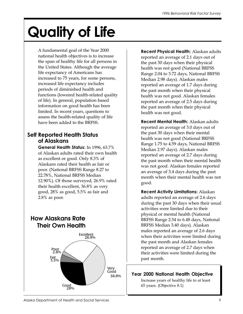# Quality of Life

A fundamental goal of the Year 2000 national health objectives is to increase the span of healthy life for all persons in the United States. Although the average life expectancy of Americans has increased to 75 years, for some persons, increased life expectancy includes periods of diminished health and functions (lowered health-related quality of life). In general, population based information on good health has been limited. In recent years, questions to assess the health-related quality of life have been added to the BRFSS.

#### Self Reported Health Status of Alaskans

General Health Status: In 1996, 63.7% of Alaskan adults rated their own health as excellent or good. Only 8.3% of Alaskans rated their health as fair or poor. (National BRFSS Range 8.27 to 22.78%, National BRFSS Median 12.90%). Of those surveyed, 26.9% rated their health excellent, 36.8% as very good, 28% as good, 5.5% as fair and 2.8% as poor.

## **How Alaskans Rate Their Own Health** Excellent 26.9% Fair<br>5.5% Very Good 36.8% Poor 2.8% Good<br>28%

Recent Physical Health: Alaskan adults reported an average of 2.1 days out of the past 30 days when their physical health was not good (National BRFSS Range 2.04 to 3.72 days, National BRFSS Median 2.98 days). Alaskan males reported an average of 1.7 days during the past month when their physical health was not good. Alaskan females reported an average of 2.5 days during the past month when their physical health was not good.

Recent Mental Health: Alaskan adults reported an average of 3.0 days out of the past 30 days when their mental health was not good (National BRFSS Range 1.75 to 4.59 days, National BRFSS Median 2.97 days). Alaskan males reported an average of 2.7 days during the past month when their mental health was not good. Alaskan females reported an average of 3.4 days during the past month when their mental health was not good.

Recent Activity Limitations: Alaskan adults reported an average of 2.6 days during the past 30 days when their usual activities were limited due to their physical or mental health (National BRFSS Range 2.54 to 6.48 days, National BRFSS Median 3.40 days). Alaskan males reported an average of 2.6 days when their activities were limited during the past month and Alaskan females reported an average of 2.7 days when their activities were limited during the past month.

#### Year 2000 National Health Objective

Increase years of healthy life to at least 65 years. (Objective 8.1)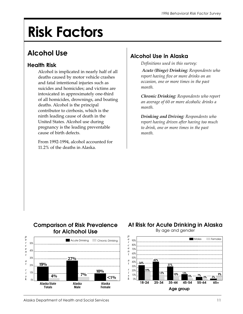# Risk Factors

# Alcohol Use

### Health Risk

Alcohol is implicated in nearly half of all deaths caused by motor vehicle crashes and fatal intentional injuries such as suicides and homicides; and victims are intoxicated in approximately one-third of all homicides, drownings, and boating deaths. Alcohol is the principal contributor to cirrhosis, which is the ninth leading cause of death in the United States. Alcohol use during pregnancy is the leading preventable cause of birth defects.

From 1992-1994, alcohol accounted for 11.2% of the deaths in Alaska.

## Alcohol Use in Alaska

Definitions used in this survey:

 Acute (Binge) Drinking: Respondents who report having five or more drinks on an occasion, one or more times in the past month.

Chronic Drinking: Respondents who report an average of 60 or more alcoholic drinks a month.

Drinking and Driving: Respondents who report having driven after having too much to drink, one or more times in the past month.

#### **Comparison of Risk Prevalence for Alchohol Use**



*Acute - National BRFSS Range 5.22 - 22.89%, Median 13.93%*

#### **At Risk for Acute Drinking in Alaska** By age and gender

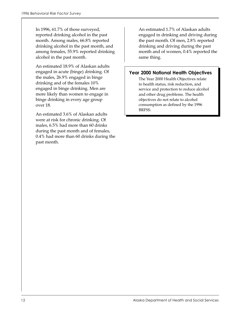In 1996, 61.7% of those surveyed, reported drinking alcohol in the past month. Among males, 66.8% reported drinking alcohol in the past month, and among females, 55.9% reported drinking alcohol in the past month.

An estimated 18.9% of Alaskan adults engaged in acute (binge) drinking. Of the males, 26.9% engaged in binge drinking and of the females 10% engaged in binge drinking. Men are more likely than women to engage in binge drinking in every age group over 18.

An estimated 3.6% of Alaskan adults were at risk for chronic drinking. Of males, 6.5% had more than 60 drinks during the past month and of females, 0.4% had more than 60 drinks during the past month.

An estimated 1.7% of Alaskan adults engaged in drinking and driving during the past month. Of men, 2.8% reported drinking and driving during the past month and of women, 0.4% reported the same thing.

#### Year 2000 National Health Objectives

The Year 2000 Health Objectives relate to health status, risk reduction, and service and protection to reduce alcohol and other drug problems. The health objectives do not relate to alcohol consumption as defined by the 1996 BRFSS.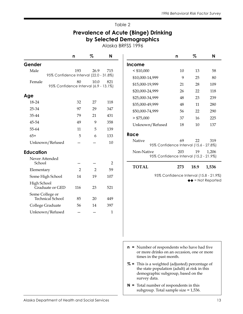#### Prevalence of Acute (Binge) Drinking by Selected Demographics

Alaska BRFSS 1996

|                                                 | n              | %              | N              |                                                                                                                                                                   | n   | %    | N                                      |
|-------------------------------------------------|----------------|----------------|----------------|-------------------------------------------------------------------------------------------------------------------------------------------------------------------|-----|------|----------------------------------------|
| Gender                                          |                |                |                | Income                                                                                                                                                            |     |      |                                        |
| Male                                            | 193            | 26.9           | 715            | $<$ \$10,000                                                                                                                                                      | 10  | 13   | 58                                     |
| 95% Confidence Interval (22.0 - 31.8%)          |                |                |                | \$10,000-14,999                                                                                                                                                   | 9   | 25   | 80                                     |
| Female<br>95% Confidence Interval (6.9 - 13.1%) | 80             | 10.0           | 821            | \$15,000-19,999                                                                                                                                                   | 21  | 28   | 109                                    |
|                                                 |                |                |                | \$20,000-24,999                                                                                                                                                   | 26  | 22   | 118                                    |
| Age                                             |                |                |                | \$25,000-34,999                                                                                                                                                   | 48  | 23   | 239                                    |
| 18-24                                           | 32             | 27             | 118            | \$35,000-49,999                                                                                                                                                   | 48  | 11   | 280                                    |
| 25-34                                           | 97             | 29             | 347            | \$50,000-74,999                                                                                                                                                   | 56  | 22   | 290                                    |
| 35-44                                           | 79             | 21             | 431            | > \$75,000                                                                                                                                                        | 37  | 16   | 225                                    |
| 45-54                                           | 49             | 9              | 358            | Unknown/Refused                                                                                                                                                   | 18  | 10   | 137                                    |
| 55-64                                           | 11             | 5              | 139            |                                                                                                                                                                   |     |      |                                        |
| $65+$                                           | $\overline{5}$ | 6              | 133            | Race                                                                                                                                                              |     |      |                                        |
| Unknown/Refused                                 |                |                | 10             | Native<br>95% Confidence Interval (15.6 - 27.8%)                                                                                                                  | 69  | 22   | 319                                    |
| <b>Education</b>                                |                |                |                | Non-Native                                                                                                                                                        | 203 | 19   | 1,206                                  |
| Never Attended<br>School                        |                |                | $\overline{2}$ | 95% Confidence Interval (15.2 - 21.9%)                                                                                                                            |     |      |                                        |
| Elementary                                      | $\overline{2}$ | $\overline{2}$ | 59             | <b>TOTAL</b>                                                                                                                                                      | 273 | 18.9 | 1,536                                  |
| Some High School                                | 14             | 19             | 107            |                                                                                                                                                                   |     |      | 95% Confidence Interval (15.8 - 21.9%) |
| High School<br>Graduate or GED                  | 116            | 23             | 521            |                                                                                                                                                                   |     |      | $\leftrightarrow$ = Not Reported       |
| Some College or<br>Technical School             | 85             | 20             | 449            |                                                                                                                                                                   |     |      |                                        |
| College Graduate                                | 56             | 14             | 397            |                                                                                                                                                                   |     |      |                                        |
| Unknown/Refused                                 |                |                | $\mathbf{1}$   |                                                                                                                                                                   |     |      |                                        |
|                                                 |                |                |                |                                                                                                                                                                   |     |      |                                        |
|                                                 |                |                |                | $\mathsf{n}$ = Number of respondents who have had five<br>or more drinks on an occasion, one or more                                                              |     |      |                                        |
|                                                 |                |                |                | times in the past month.<br>% = This is a weighted (adjusted) percentage of<br>the state population (adult) at risk in this<br>demographic subgroup, based on the |     |      |                                        |

survey data.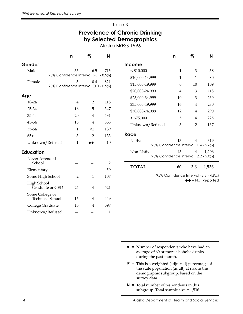## Prevalence of Chronic Drinking by Selected Demographics

Alaska BRFSS 1996

|                                     | n                                         | %              | N              |  |  |  |  |
|-------------------------------------|-------------------------------------------|----------------|----------------|--|--|--|--|
| Gender                              |                                           |                |                |  |  |  |  |
| Male                                | 55                                        | 6.5            | 715            |  |  |  |  |
|                                     | 95% Confidence Interval (4.1 - 8.9%)      |                |                |  |  |  |  |
| Female                              | 5<br>95% Confidence Interval (0.0 - 0.9%) | 0.4            | 821            |  |  |  |  |
| Age                                 |                                           |                |                |  |  |  |  |
| 18-24                               | 4                                         | 2              | 118            |  |  |  |  |
| 25-34                               | 16                                        | 5              | 347            |  |  |  |  |
| 35-44                               | 20                                        | 4              | 431            |  |  |  |  |
| 45-54                               | 15                                        | 4              | 358            |  |  |  |  |
| 55-64                               | 1                                         | <1             | 139            |  |  |  |  |
| $65+$                               | 3                                         | $\overline{2}$ | 133            |  |  |  |  |
| Unknown/Refused                     | 1                                         |                | 10             |  |  |  |  |
| <b>Education</b>                    |                                           |                |                |  |  |  |  |
| Never Attended                      |                                           |                |                |  |  |  |  |
| School                              |                                           |                | $\overline{2}$ |  |  |  |  |
| Elementary                          |                                           |                | 59             |  |  |  |  |
| Some High School                    | $\overline{2}$                            | 1              | 107            |  |  |  |  |
| High School<br>Graduate or GED      | 24                                        | 4              | 521            |  |  |  |  |
| Some College or<br>Technical School | 16                                        | 4              | 449            |  |  |  |  |
| College Graduate                    | 18                                        | $\overline{4}$ | 397            |  |  |  |  |
| Unknown/Refused                     |                                           |                | 1              |  |  |  |  |
|                                     |                                           |                |                |  |  |  |  |

|                                                                                                                  | n                                                                                                                                     | %   | N                                    |  |  |  |
|------------------------------------------------------------------------------------------------------------------|---------------------------------------------------------------------------------------------------------------------------------------|-----|--------------------------------------|--|--|--|
| <b>Income</b>                                                                                                    |                                                                                                                                       |     |                                      |  |  |  |
| $<$ \$10,000                                                                                                     | 1                                                                                                                                     | 3   | 58                                   |  |  |  |
| \$10,000-14,999                                                                                                  | 1                                                                                                                                     | 1   | 80                                   |  |  |  |
| \$15,000-19,999                                                                                                  | 6                                                                                                                                     | 10  | 109                                  |  |  |  |
| \$20,000-24,999                                                                                                  | 4                                                                                                                                     | 3   | 118                                  |  |  |  |
| \$25,000-34,999                                                                                                  | 10                                                                                                                                    | З   | 239                                  |  |  |  |
| \$35,000-49,999                                                                                                  | 16                                                                                                                                    | 4   | 280                                  |  |  |  |
| \$50,000-74,999                                                                                                  | 12                                                                                                                                    | 4   | 290                                  |  |  |  |
| $>$ \$75,000                                                                                                     | 5                                                                                                                                     | 4   | 225                                  |  |  |  |
| Unknown/Refused                                                                                                  | 5                                                                                                                                     | 2   | 137                                  |  |  |  |
| Race                                                                                                             |                                                                                                                                       |     |                                      |  |  |  |
| Native<br>95% Confidence Interval (1.4 - 5.6%)                                                                   | 13                                                                                                                                    | 4   | 319                                  |  |  |  |
| Non-Native<br>95% Confidence Interval (2.2 - 5.0%)                                                               | 45                                                                                                                                    | 4   | 1,206                                |  |  |  |
| <b>TOTAL</b>                                                                                                     | 60                                                                                                                                    | 3.6 | 1,536                                |  |  |  |
|                                                                                                                  |                                                                                                                                       |     | $\blacktriangleright$ = Not Reported |  |  |  |
| Number of respondents who have had an<br>n =<br>average of 60 or more alcoholic drinks<br>during the past month. |                                                                                                                                       |     |                                      |  |  |  |
| survey data.                                                                                                     | % = This is a weighted (adjusted) percentage of<br>the state population (adult) at risk in this<br>demographic subgroup, based on the |     |                                      |  |  |  |
| $N =$ Total number of respondents in this                                                                        |                                                                                                                                       |     |                                      |  |  |  |

subgroup. Total sample size = 1,536.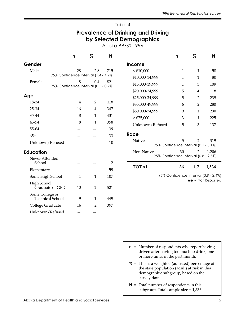#### Prevalence of Drinking and Driving by Selected Demographics

Alaska BRFSS 1996

|                                     | n                                         | %              | N              |                                                                                                                                                       | n                                         | %              | N                                                                        |
|-------------------------------------|-------------------------------------------|----------------|----------------|-------------------------------------------------------------------------------------------------------------------------------------------------------|-------------------------------------------|----------------|--------------------------------------------------------------------------|
| Gender                              |                                           |                |                | <b>Income</b>                                                                                                                                         |                                           |                |                                                                          |
| Male                                | 28                                        | 2.8            | 715            | $<$ \$10,000                                                                                                                                          | $\mathbf{1}$                              | $\mathbf{1}$   | 58                                                                       |
|                                     | 95% Confidence Interval (1.4 - 4.2%)      |                |                | \$10,000-14,999                                                                                                                                       | $\mathbf{1}$                              | $\mathbf{1}$   | 80                                                                       |
| Female                              | 8<br>95% Confidence Interval (0.1 - 0.7%) | 0.4            | 821            | \$15,000-19,999                                                                                                                                       | $\mathbf{1}$                              | $\mathfrak{Z}$ | 109                                                                      |
|                                     |                                           |                |                | \$20,000-24,999                                                                                                                                       | 5                                         | 4              | 118                                                                      |
| Age                                 |                                           |                |                | \$25,000-34,999                                                                                                                                       | 5                                         | $\overline{2}$ | 239                                                                      |
| 18-24                               | 4                                         | $\overline{2}$ | 118            | \$35,000-49,999                                                                                                                                       | 6                                         | 2              | 280                                                                      |
| 25-34                               | 16                                        | 4              | 347            | \$50,000-74,999                                                                                                                                       | 9                                         | $\mathbf{1}$   | 290                                                                      |
| 35-44                               | $\,8\,$                                   | $\mathbf{1}$   | 431            | $>$ \$75,000                                                                                                                                          | 3                                         | 1              | 225                                                                      |
| 45-54                               | 8                                         | 1              | 358            | Unknown/Refused                                                                                                                                       | 5                                         | 3              | 137                                                                      |
| 55-64                               |                                           |                | 139            |                                                                                                                                                       |                                           |                |                                                                          |
| $65+$                               |                                           |                | 133            | Race                                                                                                                                                  |                                           |                |                                                                          |
| Unknown/Refused                     |                                           |                | 10             | Native                                                                                                                                                | 5<br>95% Confidence Interval (0.1 - 3.1%) | $\overline{2}$ | 319                                                                      |
| <b>Education</b>                    |                                           |                |                | Non-Native                                                                                                                                            | 30                                        | 2              | 1,206                                                                    |
| Never Attended                      |                                           |                |                | 95% Confidence Interval (0.8 - 2.5%)                                                                                                                  |                                           |                |                                                                          |
| School                              |                                           |                | $\overline{2}$ | <b>TOTAL</b>                                                                                                                                          | 36                                        | 1.7            | 1,536                                                                    |
| Elementary                          |                                           |                | 59             |                                                                                                                                                       |                                           |                |                                                                          |
| Some High School                    | 1                                         | 1              | 107            |                                                                                                                                                       |                                           |                | 95% Confidence Interval (0.9 - 2.4%)<br>$\leftrightarrow$ = Not Reported |
| High School<br>Graduate or GED      | 10                                        | $\overline{2}$ | 521            |                                                                                                                                                       |                                           |                |                                                                          |
| Some College or<br>Technical School | 9                                         | $\mathbf{1}$   | 449            |                                                                                                                                                       |                                           |                |                                                                          |
| College Graduate                    | 16                                        | 2              | 397            |                                                                                                                                                       |                                           |                |                                                                          |
| Unknown/Refused                     |                                           |                | $1\,$          |                                                                                                                                                       |                                           |                |                                                                          |
|                                     |                                           |                |                |                                                                                                                                                       |                                           |                |                                                                          |
|                                     |                                           |                |                |                                                                                                                                                       |                                           |                |                                                                          |
|                                     |                                           |                |                |                                                                                                                                                       |                                           |                |                                                                          |
|                                     |                                           |                |                |                                                                                                                                                       |                                           |                |                                                                          |
|                                     |                                           |                |                | $\mathsf{n}$ = Number of respondents who report having<br>driven after having too much to drink, one<br>or more times in the past month.              |                                           |                |                                                                          |
|                                     |                                           |                |                | % = This is a weighted (adjusted) percentage of<br>the state population (adult) at risk in this<br>demographic subgroup, based on the<br>survey data. |                                           |                |                                                                          |
|                                     |                                           |                |                | $N =$ Total number of respondents in this<br>subgroup. Total sample size = 1,536.                                                                     |                                           |                |                                                                          |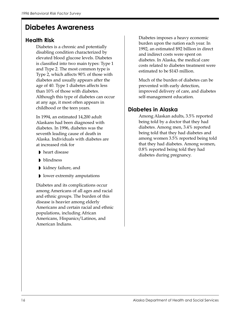# Diabetes Awareness

#### Health Risk

Diabetes is a chronic and potentially disabling condition characterized by elevated blood glucose levels. Diabetes is classified into two main types: Type 1 and Type 2. The most common type is Type 2, which affects 90% of those with diabetes and usually appears after the age of 40. Type 1 diabetes affects less than 10% of those with diabetes. Although this type of diabetes can occur at any age, it most often appears in childhood or the teen years.

In 1994, an estimated 14,200 adult Alaskans had been diagnosed with diabetes. In 1996, diabetes was the seventh leading cause of death in Alaska. Individuals with diabetes are at increased risk for

- ◗ heart disease
- ◗ blindness
- ◗ kidney failure, and
- ◗ lower extremity amputations

Diabetes and its complications occur among Americans of all ages and racial and ethnic groups. The burden of this disease is heavier among elderly Americans and certain racial and ethnic populations, including African Americans, Hispanics/Latinos, and American Indians.

Diabetes imposes a heavy economic burden upon the nation each year. In 1992, an estimated \$92 billion in direct and indirect costs were spent on diabetes. In Alaska, the medical care costs related to diabetes treatment were estimated to be \$143 million.

Much of the burden of diabetes can be prevented with early detection, improved delivery of care, and diabetes self-management education.

#### Diabetes in Alaska

Among Alaskan adults, 3.5% reported being told by a doctor that they had diabetes. Among men, 3.4% reported being told that they had diabetes and among women 3.5% reported being told that they had diabetes. Among women, 0.8% reported being told they had diabetes during pregnancy.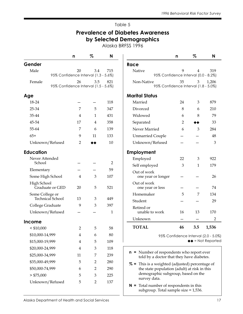#### Prevalence of Diabetes Awareness by Selected Demographics

Alaska BRFSS 1996

|                                                | n              | %              | N              |
|------------------------------------------------|----------------|----------------|----------------|
| Gender                                         |                |                |                |
| Male                                           | 20             | 3.4            | 715            |
| 95% Confidence Interval (1.3 - 5.6%)           |                |                |                |
| Female<br>95% Confidence Interval (1.5 - 5.6%) | 26             | 3.5            | 821            |
|                                                |                |                |                |
| Age                                            |                |                |                |
| 18-24                                          |                |                | 118            |
| 25-34                                          | 7              | 5              | 347            |
| 35-44                                          | 4              | 1              | 431            |
| 45-54                                          | 17             | 4              | 358            |
| 55-64                                          | 7              | 6              | 139            |
| $65+$                                          | 9              | 11             | 133            |
| Unknown/Refused                                | 2              |                | 10             |
| <b>Education</b>                               |                |                |                |
| Never Attended                                 |                |                |                |
| School                                         |                |                | $\overline{2}$ |
| Elementary                                     |                |                | 59             |
| Some High School                               | 4              | 3              | 107            |
| High School<br>Graduate or GED                 | 20             | 5              | 521            |
| Some College or<br><b>Technical School</b>     | 13             | 3              | 449            |
| College Graduate                               | 9              | 3              | 397            |
| Unknown/Refused                                |                |                | 1              |
| <b>Income</b>                                  |                |                |                |
| $<$ \$10,000                                   | $\overline{2}$ | 5              | 58             |
| \$10,000-14,999                                | $\overline{4}$ | 6              | 80             |
| \$15,000-19,999                                | $\overline{4}$ | 5              | 109            |
| \$20,000-24,999                                | $\overline{4}$ | 3              | 118            |
| \$25,000-34,999                                | 11             | 7              | 239            |
| \$35,000-49,999                                | 5              | $\overline{2}$ | 280            |
| \$50,000-74,999                                | 6              | $\overline{2}$ | 290            |
| > \$75,000                                     | 5              | 3              | 225            |
| Unknown/Refused                                | 5              | $\overline{2}$ | 137            |
|                                                |                |                |                |

|                                                    | n                                    | %   | N                          |
|----------------------------------------------------|--------------------------------------|-----|----------------------------|
| Race                                               |                                      |     |                            |
| Native<br>95% Confidence Interval (0.0 - 8.2%)     | 9                                    | 4   | 319                        |
| Non-Native<br>95% Confidence Interval (1.8 - 5.0%) | 35                                   | 3   | 1,206                      |
| <b>Marital Status</b>                              |                                      |     |                            |
| Married                                            | 24                                   | 3   | 879                        |
| Divorced                                           | 8                                    | 6   | 210                        |
| Widowed                                            | 6                                    | 8   | 79                         |
| Separated                                          | 2                                    |     | 33                         |
| Never Married                                      | 6                                    | 3   | 284                        |
| <b>Unmarried Couple</b>                            |                                      |     | 48                         |
| Unknown/Refused                                    |                                      |     | 3                          |
| <b>Employment</b>                                  |                                      |     |                            |
| Employed                                           | 22                                   | 3   | 922                        |
| Self employed                                      | 3                                    | 1   | 179                        |
| Out of work<br>one year or longer                  |                                      |     | 26                         |
| Out of work<br>one year or less                    |                                      |     | 74                         |
| Homemaker                                          | 5                                    | 7   | 134                        |
| Student                                            |                                      |     | 29                         |
| Retired or<br>unable to work                       | 16                                   | 13  | 170                        |
| Unknown                                            |                                      |     | 2                          |
| <b>TOTAL</b>                                       | 46                                   | 3.5 | 1,536                      |
|                                                    | 95% Confidence Interval (2.0 - 5.0%) |     | $\triangle$ = Not Reported |

Number of respondents who report ever told by a doctor that they have diabetes.

% = This is a weighted (adjusted) percentage of the state population (adult) at risk in this demographic subgroup, based on the survey data.

 $N =$  Total number of respondents in this subgroup. Total sample size = 1,536.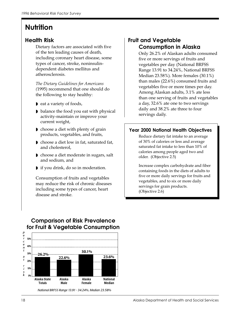# **Nutrition**

#### Health Risk

Dietary factors are associated with five of the ten leading causes of death, including coronary heart disease, some types of cancer, stroke, noninsulindependent diabetes mellitus and atherosclerosis.

The Dietary Guidelines for Americans (1995) recommend that one should do the following to stay healthy:

- ◗ eat a variety of foods,
- ◗ balance the food you eat with physical activity-maintain or improve your current weight,
- ◗ choose a diet with plenty of grain products, vegetables, and fruits,
- ◗ choose a diet low in fat, saturated fat, and cholesterol,
- ◗ choose a diet moderate in sugars, salt and sodium, and
- ◗ if you drink, do so in moderation.

Consumption of fruits and vegetables may reduce the risk of chronic diseases including some types of cancer, heart disease and stroke.

#### Fruit and Vegetable Consumption in Alaska

Only 26.2% of Alaskan adults consumed five or more servings of fruits and vegetables per day (National BRFSS Range 13.91 to 34.24%, National BRFSS Median 23.58%). More females (30.1%) than males (22.6%) consumed fruits and vegetables five or more times per day. Among Alaskan adults, 3.1% ate less than one serving of fruits and vegetables a day, 32.6% ate one to two servings daily and 38.2% ate three to four servings daily.

#### Year 2000 National Health Objectives

Reduce dietary fat intake to an average of 30% of calories or less and average saturated fat intake to less than 10% of calories among people aged two and older. (Objective 2.5)

Increase complex carbohydrate and fiber containing foods in the diets of adults to five or more daily servings for fruits and vegetables, and to six or more daily servings for grain products. (Objective 2.6)



*National BRFSS Range 13.91 - 34.24%, Median 23.58%*

#### **Comparison of Risk Prevalence for Fruit & Vegetable Consumption**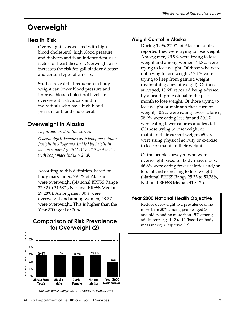# **Overweight**

#### Health Risk

Overweight is associated with high blood cholesterol, high blood pressure, and diabetes and is an independent risk factor for heart disease. Overweight also increases the risk for gall bladder disease and certain types of cancers.

Studies reveal that reduction in body weight can lower blood pressure and improve blood cholesterol levels in overweight individuals and in individuals who have high blood pressure or blood cholesterol.

## Overweight in Alaska

Definition used in this survey:

Overweight: Females with body mass index [weight in kilograms divided by height in meters squared  $(w/h *2) \geq 27.3$  and males with body mass index  $\geq$  27.8.

According to this definition, based on body mass index, 29.4% of Alaskans were overweight (National BRFSS Range 22.32 to 34.68%, National BRFSS Median 29.28%). Among men, 30% were overweight and among women, 28.7% were overweight. This is higher than the Year 2000 goal of 20%.

#### **Comparison of Risk Prevalence**<br>mass index). (Objective 2.3) **for Overweight (2)**



# Weight Control in Alaska

During 1996, 37.0% of Alaskan adults reported they were trying to lose weight. Among men, 29.9% were trying to lose weight and among women, 44.8% were trying to lose weight. Of those who were not trying to lose weight, 52.1% were trying to keep from gaining weight (maintaining current weight). Of those surveyed, 10.6% reported being advised by a health professional in the past month to lose weight. Of those trying to lose weight or maintain their current weight, 10.2% were eating fewer calories, 38.9% were eating less fat and 30.1% were eating fewer calories and less fat. Of those trying to lose weight or maintain their current weight, 65.9% were using physical activity or exercise to lose or maintain their weight.

Of the people surveyed who were overweight based on body mass index, 46.8% were eating fewer calories and/or less fat and exercising to lose weight (National BRFSS Range 25.33 to 50.36%, National BRFSS Median 41.84%).

#### Year 2000 National Health Objective

Reduce overweight to a prevalence of no more than 20% among people aged 20 and older, and no more than 15% among adolescents aged 12 to 19 (based on body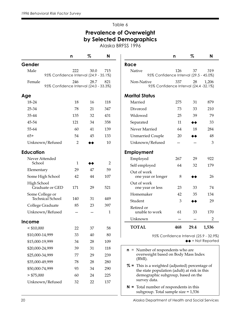## Prevalence of Overweight by Selected Demographics

Alaska BRFSS 1996

|                                                  | n                  | %    | N              |                                                                                                 | n   | %                              | N     |
|--------------------------------------------------|--------------------|------|----------------|-------------------------------------------------------------------------------------------------|-----|--------------------------------|-------|
| Gender                                           |                    |      |                | Race                                                                                            |     |                                |       |
| Male<br>95% Confidence Interval (24.9 - 35.1%)   | 222                | 30.0 | 715            | Native<br>95% Confidence Interval (29.5 - 45.0%)                                                | 126 | 37                             | 319   |
| Female<br>95% Confidence Interval (24.0 - 33.3%) | 246                | 28.7 | 821            | Non-Native<br>95% Confidence Interval (24.4 -32.1%)                                             | 337 | 28                             | 1,206 |
| Age                                              |                    |      |                | <b>Marital Status</b>                                                                           |     |                                |       |
| 18-24                                            | 18                 | 16   | 118            | Married                                                                                         | 275 | 31                             | 879   |
| 25-34                                            | 78                 | 21   | 347            | Divorced                                                                                        | 73  | 33                             | 210   |
| 35-44                                            | 135                | 32   | 431            | Widowed                                                                                         | 25  | 39                             | 79    |
| 45-54                                            | 121                | 34   | 358            | Separated                                                                                       | 11  | ◆◆                             | 33    |
| 55-64                                            | 60                 | 41   | 139            | Never Married                                                                                   | 64  | 18                             | 284   |
| $65+$                                            | 54                 | 45   | 133            | <b>Unmarried Couple</b>                                                                         | 20  | ▸♦                             | 48    |
| Unknown/Refused                                  | $\overline{2}$     |      | 10             | Unknown/Refused                                                                                 |     |                                | 3     |
| <b>Education</b>                                 |                    |      |                | <b>Employment</b>                                                                               |     |                                |       |
| Never Attended<br>School                         |                    |      | $\overline{2}$ | Employed                                                                                        | 267 | 29                             | 922   |
|                                                  | $\mathbf{1}$<br>29 | 47   | 59             | Self employed                                                                                   | 64  | 32                             | 179   |
| Elementary                                       |                    |      | 107            | Out of work                                                                                     |     |                                | 26    |
| Some High School                                 | 42                 | 44   |                | one year or longer<br>Out of work                                                               | 8   |                                |       |
| High School<br>Graduate or GED                   | 171                | 29   | 521            | one year or less                                                                                | 23  | 33                             | 74    |
| Some College or                                  |                    |      |                | Homemaker                                                                                       | 42  | 35                             | 134   |
| Technical School                                 | 140                | 31   | 449            | Student                                                                                         | 3   | ◆◆                             | 29    |
| College Graduate                                 | 85                 | 23   | 397            | Retired or                                                                                      |     |                                |       |
| Unknown/Refused                                  |                    |      | 1              | unable to work                                                                                  | 61  | 33                             | 170   |
| <b>Income</b>                                    |                    |      |                | Unknown                                                                                         |     |                                | 2     |
| $<$ \$10,000                                     | 22                 | 37   | 58             | <b>TOTAL</b>                                                                                    | 468 | 29.4                           | 1,536 |
| \$10,000-14,999                                  | 33                 | 40   | 80             | 95% Confidence Interval (25.9 - 32.9                                                            |     |                                |       |
| \$15,000-19,999                                  | 34                 | 28   | 109            |                                                                                                 |     | $\leftrightarrow$ = Not Report |       |
| \$20,000-24,999                                  | 39                 | 31   | 118            | $\mathsf{n}$ = Number of respondents who are                                                    |     |                                |       |
| \$25,000-34,999                                  | 77                 | 29   | 239            | overweight based on Body Mass Index                                                             |     |                                |       |
| \$35,000-49,999                                  | 78                 | 28   | 280            | $(BMI)$ .                                                                                       |     |                                |       |
| \$50,000-74,999                                  | 93                 | 34   | 290            | % = This is a weighted (adjusted) percentage of<br>the state population (adult) at risk in this |     |                                |       |
| $>$ \$75,000                                     | 60                 | 24   | 225            | demographic subgroup, based on the                                                              |     |                                |       |
| Unknown/Refused                                  | 32                 | 22   | 137            | survey data.                                                                                    |     |                                |       |
|                                                  |                    |      |                | $N =$ Total number of respondents in this                                                       |     |                                |       |

Married 275 31 879 Divorced 73 33 210 Widowed 25 39 79 Separated  $11$   $\leftrightarrow$  33 Never Married 64 18 284 Unmarried Couple  $20$   $\leftrightarrow$   $48$ Unknown/Refused — — 3 Employed 267 29 922 Self employed 64 32 179 one year or longer  $8 \rightarrow 26$ one year or less  $23$   $33$   $74$ Homemaker 42 35 134 Student  $3 \rightarrow 29$ unable to work 61 33 170 Unknown — — 2 A 1,536  $1 (25.9 - 32.9\%)$ Not Reported

- **Index** rcentage of sk in this
- **N** = Total number of respondents in this subgroup. Total sample size = 1,536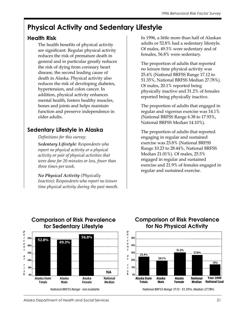# Physical Activity and Sedentary Lifestyle

#### Health Risk

The health benefits of physical activity are significant. Regular physical activity reduces the risk of premature death in general and in particular greatly reduces the risk of dying from coronary heart disease, the second leading cause of death in Alaska. Physical activity also reduces the risk of developing diabetes, hypertension, and colon cancer. In addition, physical activity enhances mental health, fosters healthy muscles, bones and joints and helps maintain function and preserve independence in older adults.

#### Sedentary Lifestyle in Alaska

#### Definitions for this survey:

Sedentary Lifestyle: Respondents who report no physical activity or a physical activity or pair of physical activities that were done for 20 minutes or less, fewer than three times per week.

No Physical Activity (Physically Inactive): Respondents who report no leisure time physical activity during the past month. In 1996, a little more than half of Alaskan adults or 52.8% had a sedentary lifestyle. Of males, 49.3% were sedentary and of females, 56.8% were sedentary.

The proportion of adults that reported no leisure time physical activity was 25.4% (National BRFSS Range 17.12 to 51.35%, National BRFSS Median 27.78%). Of males, 20.1% reported being physically inactive and 31.2% of females reported being physically inactive.

The proportion of adults that engaged in regular and vigorous exercise was 14.1% (National BRFSS Range 6.38 to 17.93%, National BRFSS Median 14.10%).

The proportion of adults that reported engaging in regular and sustained exercise was 23.8% (National BRFSS Range 10.23 to 28.44%, National BRFSS Median 21.01%). Of males, 25.5% engaged in regular and sustained exercise and 21.9% of females engaged in regular and sustained exercise.



#### **Comparison of Risk Prevalence for Sedentary Lifestyle**

### **Comparison of Risk Prevalence for No Physical Activity**



*National BRFSS Range 17.12 - 51.35%, Median 27.78%*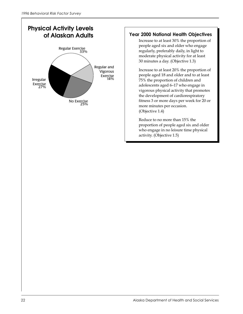

#### Year 2000 National Health Objectives

Increase to at least 30% the proportion of people aged six and older who engage regularly, preferably daily, in light to moderate physical activity for at least 30 minutes a day. (Objective 1.3)

Increase to at least 20% the proportion of people aged 18 and older and to at least 75% the proportion of children and adolescents aged 6–17 who engage in vigorous physical activity that promotes the development of cardiorespiratory fitness 3 or more days per week for 20 or more minutes per occasion. (Objective 1.4)

Reduce to no more than 15% the proportion of people aged six and older who engage in no leisure time physical activity. (Objective 1.5)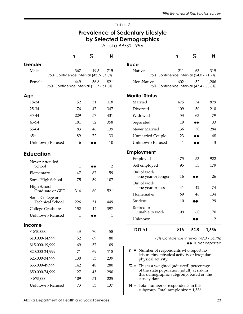#### Prevalence of Sedentary Lifestyle by Selected Demographics

Alaska BRFSS 1996

|                                     | n                                             | %    | N   |
|-------------------------------------|-----------------------------------------------|------|-----|
| Gender                              |                                               |      |     |
| Male                                | 367                                           | 49.3 | 715 |
|                                     | 95% Confidence Interval (43.7- 54.8%)         |      |     |
| Female                              | 449<br>95% Confidence Interval (51.7 - 61.8%) | 56.8 | 821 |
|                                     |                                               |      |     |
| Age                                 |                                               |      |     |
| 18-24                               | 52                                            | 51   | 118 |
| 25-34                               | 176                                           | 47   | 347 |
| 35-44                               | 229                                           | 57   | 431 |
| 45-54                               | 181                                           | 52   | 358 |
| 55-64                               | 83                                            | 46   | 139 |
| $65+$                               | 89                                            | 72   | 133 |
| Unknown/Refused                     | 6                                             | ▸◆   | 10  |
| <b>Education</b>                    |                                               |      |     |
| Never Attended                      |                                               |      |     |
| School                              | 1                                             |      | 2   |
| Elementary                          | 47                                            | 87   | 59  |
| Some High School                    | 75                                            | 59   | 107 |
| High School<br>Graduate or GED      | 314                                           | 60   | 521 |
| Some College or<br>Technical School | 226                                           | 51   | 449 |
| College Graduate                    | 152                                           | 42   | 397 |
| Unknown/Refused                     | 1                                             | ▸♠   | 1   |
| <b>Income</b>                       |                                               |      |     |
| $<$ \$10,000                        | 43                                            | 70   | 58  |
| \$10,000-14,999                     | 52                                            | 69   | 80  |
| \$15,000-19,999                     | 69                                            | 57   | 109 |
| \$20,000-24,999                     | 71                                            | 69   | 118 |
| \$25,000-34,999                     | 130                                           | 53   | 239 |
| \$35,000-49,999                     | 142                                           | 48   | 280 |
| \$50,000-74,999                     | 127                                           | 45   | 290 |
| $>$ \$75,000                        | 109                                           | 51   | 225 |
| Unknown/Refused                     | 73                                            | 53   | 137 |
|                                     |                                               |      |     |

|                                                                                                                                                       | n       | %    | N                                                                              |  |
|-------------------------------------------------------------------------------------------------------------------------------------------------------|---------|------|--------------------------------------------------------------------------------|--|
| Race                                                                                                                                                  |         |      |                                                                                |  |
| Native<br>95% Confidence Interval (54.0 - 71.7%)                                                                                                      | 211     | 63   | 319                                                                            |  |
| Non-Native<br>95% Confidence Interval (47.4 - 55.8%)                                                                                                  | 602     | 52   | 1,206                                                                          |  |
| <b>Marital Status</b>                                                                                                                                 |         |      |                                                                                |  |
| Married                                                                                                                                               | 475     | 54   | 879                                                                            |  |
| Divorced                                                                                                                                              | 109     | 50   | 210                                                                            |  |
| Widowed                                                                                                                                               | 53      | 63   | 79                                                                             |  |
| Separated                                                                                                                                             | 19      | ◆◆   | 33                                                                             |  |
| Never Married                                                                                                                                         | 136     | 50   | 284                                                                            |  |
| <b>Unmarried Couple</b>                                                                                                                               | 23      | ▸◆   | 48                                                                             |  |
| Unknown/Refused                                                                                                                                       | 1       |      | 3                                                                              |  |
| <b>Employment</b>                                                                                                                                     |         |      |                                                                                |  |
| Employed                                                                                                                                              | 475     | 53   | 922                                                                            |  |
| Self employed                                                                                                                                         | 95      | 55   | 179                                                                            |  |
| Out of work<br>one year or longer                                                                                                                     | 16      |      | 26                                                                             |  |
| Out of work<br>one year or less                                                                                                                       | 41      | 42   | 74                                                                             |  |
| Homemaker                                                                                                                                             | 69      | 46   | 134                                                                            |  |
| Student                                                                                                                                               | 10<br>х |      | 29                                                                             |  |
| Retired or<br>unable to work                                                                                                                          | 109     | 60   | 170                                                                            |  |
| Unknown                                                                                                                                               | 1       | ∙●   | 2                                                                              |  |
| <b>TOTAL</b>                                                                                                                                          | 816     | 52.8 | 1,536                                                                          |  |
|                                                                                                                                                       |         |      | 95% Confidence Interval (49.0 - 56.7%)<br>$\blacktriangleright$ = Not Reported |  |
| <b>n</b> = Number of respondents who report no<br>leisure time physical activity or irregular<br>physical activity.                                   |         |      |                                                                                |  |
| % = This is a weighted (adjusted) percentage<br>of the state population (adult) at risk in<br>this demographic subgroup, based on the<br>survey data. |         |      |                                                                                |  |

N = Total number of respondents in this subgroup. Total sample size  $= 1,536$ .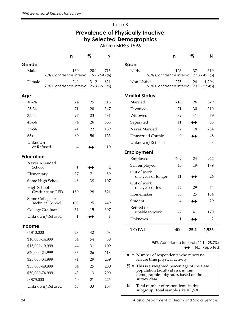#### Prevalence of Physically Inactive by Selected Demographics

Alaska BRFSS 1996

Race

Marital Status

Employment

Out of work

Out of work

Retired or

survey data.

|                                                  | n   | %    | N   |
|--------------------------------------------------|-----|------|-----|
| Gender                                           |     |      |     |
| Male<br>95% Confidence Interval (15.7 - 24.6%)   | 160 | 20.1 | 715 |
| Female<br>95% Confidence Interval (26.3 - 36.1%) | 240 | 31.2 | 821 |
| Age                                              |     |      |     |
| 18-24                                            | 24  | 25   | 118 |
| 25-34                                            | 71  | 20   | 347 |
| 35-44                                            | 97  | 23   | 431 |
| 45-54                                            | 94  | 26   | 358 |
| 55-64                                            | 41  | 22   | 139 |
| $65+$                                            | 69  | 56   | 133 |
| Unknown<br>or Refused                            | 4   |      | 10  |
| <b>Education</b>                                 |     |      |     |
| Never Attended<br>School                         | 1   |      | 2   |
| Elementary                                       | 37  | 71   | 59  |
| Some High School                                 | 48  | 38   | 107 |
| High School<br>Graduate or GED                   | 159 | 28   | 521 |
| Some College or<br>Technical School              | 103 | 25   | 449 |
| College Graduate                                 | 51  | 15   | 397 |
| Unknown/Refused                                  | 1   |      | 1   |
| <b>Income</b>                                    |     |      |     |
| $<$ \$10,000                                     | 28  | 42   | 58  |
| \$10,000-14,999                                  | 34  | 54   | 80  |
| \$15,000-19,999                                  | 44  | 31   | 109 |
| \$20,000-24,999                                  | 33  | 26   | 118 |
| \$25,000-34,999                                  | 71  | 29   | 239 |
| \$35,000-49,999                                  | 64  | 25   | 280 |
| \$50,000-74,999                                  | 43  | 13   | 290 |
| > \$75,000                                       | 40  | 21   | 225 |
| Unknown/Refused                                  | 43  | 33   | 137 |
|                                                  |     |      |     |

| 24 | Alaska Department of Health and Social Services |
|----|-------------------------------------------------|

n% N

Native 123 37 319

Non-Native 275 24 1,206

Married 218 26 879 Divorced 71 30 210 Widowed 39 41 79 Separated 11 ◆◆ 33 Never Married 52 18 284 Unmarried Couple 9 → 48 Unknown/Refused — — 3

Employed 209 24 922 Self employed  $40$  19 179

one year or longer 11 ◆◆ 26

one year or less 22 29 74 Homemaker 36 25 134 Student  $4 \rightarrow 29$ 

unable to work  $77$  41 170 Unknown  $1 \rightarrow 2$ 

TOTAL 400 25.4 1,536

n = Number of respondents who report no leisure time physical activity.

 $N =$  Total number of respondents in this subgroup. Total sample size  $= 1,536$ .

% = This is a weighted percentage of the state population (adult) at risk in this demographic subgroup, based on the

95% Confidence Interval (22.1 - 28.7%)

 $\leftrightarrow$  = Not Reported

95% Confidence Interval (29.3 - 45.1%)

95% Confidence Interval (20.1 - 27.4%)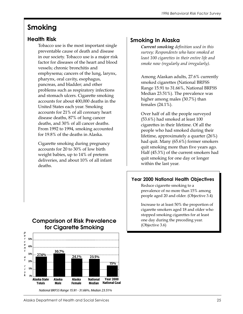# Smoking

## Health Risk

Tobacco use is the most important single preventable cause of death and disease in our society. Tobacco use is a major risk factor for diseases of the heart and blood vessels; chronic bronchitis and emphysema; cancers of the lung, larynx, pharynx, oral cavity, esophagus, pancreas, and bladder; and other problems such as respiratory infections and stomach ulcers. Cigarette smoking accounts for about 400,000 deaths in the United States each year. Smoking accounts for 21% of all coronary heart disease deaths, 87% of lung cancer deaths, and 30% of all cancer deaths. From 1992 to 1994, smoking accounted for 19.8% of the deaths in Alaska.

Cigarette smoking during pregnancy accounts for 20 to 30% of low birth weight babies, up to 14% of preterm deliveries, and about 10% of all infant deaths.

## **Comparison of Risk Prevalence for Cigarette Smoking**



*National BRFSS Range 15.91 - 31.66%, Median 23.51%*

## Smoking In Alaska

Current smoking definition used in this survey: Respondents who have smoked at least 100 cigarettes in their entire life and smoke now (regularly and irregularly).

Among Alaskan adults, 27.6% currently smoked cigarettes (National BRFSS Range 15.91 to 31.66%, National BRFSS Median 23.51%). The prevalence was higher among males (30.7%) than females (24.1%).

Over half of all the people surveyed (53.6%) had smoked at least 100 cigarettes in their lifetime. Of all the people who had smoked during their lifetime, approximately a quarter (26%) had quit. Many (65.6%) former smokers quit smoking more than five years ago. Half (45.3%) of the current smokers had quit smoking for one day or longer within the last year.

#### Year 2000 National Health Objectives

Reduce cigarette smoking to a prevalence of no more than 15% among people aged 20 and older. (Objective 3.4)

Increase to at least 50% the proportion of cigarette smokers aged 18 and older who stopped smoking cigarettes for at least one day during the preceding year. (Objective 3.6)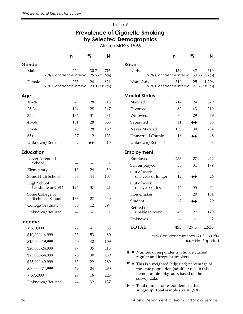## Prevalence of Cigarette Smoking by Selected Demographics

Alaska BRFSS 1996

|                                                  | n              | %    | N              |                                                                                                                                                                                                                                                 | n   | %    | N                                |
|--------------------------------------------------|----------------|------|----------------|-------------------------------------------------------------------------------------------------------------------------------------------------------------------------------------------------------------------------------------------------|-----|------|----------------------------------|
| Gender                                           |                |      |                | Race                                                                                                                                                                                                                                            |     |      |                                  |
| Male<br>95% Confidence Interval (25.6 - 35.9%)   | 220            | 30.7 | 715            | Native<br>95% Confidence Interval (38.6 - 55.6%)                                                                                                                                                                                                | 139 | 47   | 319                              |
| Female<br>95% Confidence Interval (20.0 - 28.3%) | 233            | 24.1 | 821            | Non-Native<br>95% Confidence Interval (21.3 - 28.5%)                                                                                                                                                                                            | 310 | 25   | 1,206                            |
| Age                                              |                |      |                | <b>Marital Status</b>                                                                                                                                                                                                                           |     |      |                                  |
| 18-24                                            | 43             | 28   | 118            | Married                                                                                                                                                                                                                                         | 214 | 24   | 879                              |
| 25-34                                            | 104            | 28   | 347            | Divorced                                                                                                                                                                                                                                        | 82  | 43   | 210                              |
| 35-44                                            | 136            | 31   | 431            | Widowed                                                                                                                                                                                                                                         | 30  | 29   | 79                               |
| 45-54                                            | 101            | 28   | 358            | Separated                                                                                                                                                                                                                                       | 11  | ◆◆   | 33                               |
| 55-64                                            | 40             | 28   | 139            | Never Married                                                                                                                                                                                                                                   | 100 | 30   | 284                              |
| $65+$                                            | 27             | 12   | 133            | <b>Unmarried Couple</b>                                                                                                                                                                                                                         | 16  | ◆◆   | 48                               |
| Unknown/Refused                                  | $\overline{2}$ | ▸♠   | 10             | Unknown/Refused                                                                                                                                                                                                                                 |     |      | 3                                |
| <b>Education</b>                                 |                |      |                | <b>Employment</b>                                                                                                                                                                                                                               |     |      |                                  |
| Never Attended                                   |                |      |                | Employed                                                                                                                                                                                                                                        | 253 | 27   | 922                              |
| School                                           |                |      | $\overline{2}$ | Self employed                                                                                                                                                                                                                                   | 50  | 31   | 179                              |
| Elementary                                       | 13             | 24   | 59             | Out of work                                                                                                                                                                                                                                     |     |      |                                  |
| Some High School                                 | 53             | 44   | 107            | one year or longer                                                                                                                                                                                                                              | 12  |      | 26                               |
| High School<br>Graduate or GED                   | 194            | 37   | 521            | Out of work<br>one year or less                                                                                                                                                                                                                 | 46  | 55   | 74                               |
| Some College or<br>Technical School              | 133            | 27   | 449            | Homemaker                                                                                                                                                                                                                                       | 36  | 20   | 134                              |
|                                                  | 60             | 12   | 397            | Student                                                                                                                                                                                                                                         | 7   | ◆◆   | 29                               |
| College Graduate                                 |                |      |                | Retired or<br>unable to work                                                                                                                                                                                                                    |     | 27   | 170                              |
| Unknown/Refused                                  |                |      | 1              | Unknown                                                                                                                                                                                                                                         | 49  |      | 2                                |
| Income                                           |                |      |                |                                                                                                                                                                                                                                                 |     |      |                                  |
| $<$ \$10,000                                     | 22             | 41   | 58             | <b>TOTAL</b>                                                                                                                                                                                                                                    | 453 | 27.6 | 1,536                            |
| \$10,000-14,999                                  | 33             | 53   | 80             | 95% Confidence Interval (24.3 - 30.9%)                                                                                                                                                                                                          |     |      |                                  |
| \$15,000-19,999                                  | 50             | 42   | 109            |                                                                                                                                                                                                                                                 |     |      | $\leftrightarrow$ = Not Reported |
| \$20,000-24,999                                  | 47             | 35   | 118            |                                                                                                                                                                                                                                                 |     |      |                                  |
| \$25,000-34,999                                  | 76             | 30   | 239            | $\mathbf{n}$ = Number of respondents who are current<br>regular and irregular smokers.<br>% = This is a weighted (adjusted) percentage of<br>the state population (adult) at risk in this<br>demographic subgroup, based on the<br>survey data. |     |      |                                  |
| \$35,000-49,999                                  | 83             | 22   | 280            |                                                                                                                                                                                                                                                 |     |      |                                  |
| \$50,000-74,999                                  | 69             | 24   | 290            |                                                                                                                                                                                                                                                 |     |      |                                  |
| $>$ \$75,000                                     | 29             | 16   | 225            |                                                                                                                                                                                                                                                 |     |      |                                  |
| Unknown/Refused                                  | 44             | 32   | 137            | $N =$ Total number of respondents in this<br>subgroup. Total sample size = 1,536.                                                                                                                                                               |     |      |                                  |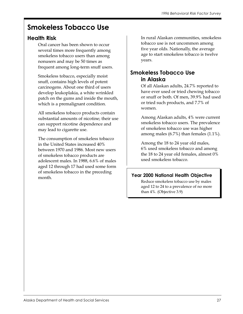# Smokeless Tobacco Use

#### Health Risk

Oral cancer has been shown to occur several times more frequently among smokeless tobacco users than among nonusers and may be 50 times as frequent among long-term snuff users.

Smokeless tobacco, especially moist snuff, contains high levels of potent carcinogens. About one third of users develop leukoplakia, a white wrinkled patch on the gums and inside the mouth, which is a premalignant condition.

All smokeless tobacco products contain substantial amounts of nicotine; their use can support nicotine dependence and may lead to cigarette use.

The consumption of smokeless tobacco in the United States increased 40% between 1970 and 1986. Most new users of smokeless tobacco products are adolescent males. In 1988, 6.6% of males aged 12 through 17 had used some form of smokeless tobacco in the preceding month.

In rural Alaskan communities, smokeless tobacco use is not uncommon among five year olds. Nationally, the average age to start smokeless tobacco is twelve years.

### Smokeless Tobacco Use in Alaska

Of all Alaskan adults, 24.7% reported to have ever used or tried chewing tobacco or snuff or both. Of men, 39.9% had used or tried such products, and 7.7% of women.

Among Alaskan adults, 4% were current smokeless tobacco users. The prevalence of smokeless tobacco use was higher among males (6.7%) than females (1.1%).

Among the 18 to 24 year old males, 6% used smokeless tobacco and among the 18 to 24 year old females, almost 0% used smokeless tobacco.

#### Year 2000 National Health Objective

Reduce smokeless tobacco use by males aged 12 to 24 to a prevalence of no more than 4%. (Objective 3.9)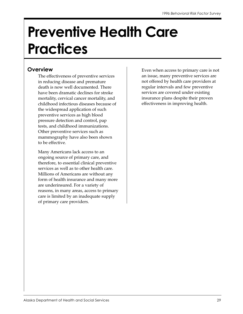# Preventive Health Care **Practices**

#### **Overview**

The effectiveness of preventive services in reducing disease and premature death is now well documented. There have been dramatic declines for stroke mortality, cervical cancer mortality, and childhood infectious diseases because of the widespread application of such preventive services as high blood pressure detection and control, pap tests, and childhood immunizations. Other preventive services such as mammography have also been shown to be effective.

Many Americans lack access to an ongoing source of primary care, and therefore, to essential clinical preventive services as well as to other health care. Millions of Americans are without any form of health insurance and many more are underinsured. For a variety of reasons, in many areas, access to primary care is limited by an inadequate supply of primary care providers.

Even when access to primary care is not an issue, many preventive services are not offered by health care providers at regular intervals and few preventive services are covered under existing insurance plans despite their proven effectiveness in improving health.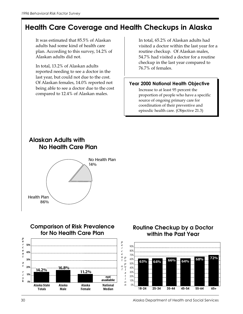## Health Care Coverage and Health Checkups in Alaska

It was estimated that 85.5% of Alaskan adults had some kind of health care plan. According to this survey, 14.2% of Alaskan adults did not.

In total, 13.2% of Alaskan adults reported needing to see a doctor in the last year, but could not due to the cost. Of Alaskan females, 14.0% reported not being able to see a doctor due to the cost compared to 12.4% of Alaskan males.

In total, 65.2% of Alaskan adults had visited a doctor within the last year for a routine checkup. Of Alaskan males, 54.7% had visited a doctor for a routine checkup in the last year compared to 76.7% of females.

#### Year 2000 National Health Objective

Increase to at least 95 percent the proportion of people who have a specific source of ongoing primary care for coordination of their preventive and episodic health care. (Objective 21.3)

## **Alaskan Adults with No Health Care Plan** No Health Plan 14%





#### **Routine Checkup by a Doctor within the Past Year**



Health Plan

86%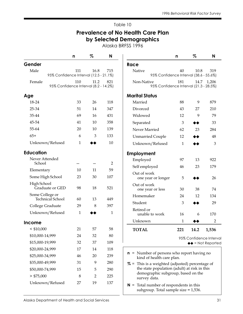#### Prevalence of No Health Care Plan by Selected Demographics

Alaska BRFSS 1996

|                                                 | n                  | %                   | N                   |                                                                                                   | n              | %    | N                                |
|-------------------------------------------------|--------------------|---------------------|---------------------|---------------------------------------------------------------------------------------------------|----------------|------|----------------------------------|
| Gender                                          |                    |                     |                     | Race                                                                                              |                |      |                                  |
| Male<br>95% Confidence Interval (12.5 - 21.1%)  | 111                | 16.8                | 715                 | Native<br>95% Confidence Interval (38.6 - 55.6%)                                                  | 40             | 10.8 | 319                              |
| Female<br>95% Confidence Interval (8.2 - 14.2%) | 110                | 11.2                | 821                 | Non-Native<br>95% Confidence Interval (21.3 - 28.5%)                                              | 181            | 14.7 | 1,206                            |
| Age                                             |                    |                     |                     | <b>Marital Status</b>                                                                             |                |      |                                  |
| 18-24                                           | 33                 | 26                  | 118                 | Married                                                                                           | 88             | 9    | 879                              |
| 25-34                                           | 51                 | 14                  | 347                 | Divorced                                                                                          | 43             | 27   | 210                              |
| 35-44                                           | 69                 | 16                  | 431                 | Widowed                                                                                           | 12             | 9    | 79                               |
| 45-54                                           | 41                 | 10                  | 358                 | Separated                                                                                         | $\mathfrak{Z}$ | ◆◆   | 33                               |
| 55-64                                           | 20                 | 10                  | 139                 | Never Married                                                                                     | 62             | 23   | 284                              |
| $65+$                                           | 6                  | 3                   | 133                 | <b>Unmarried Couple</b>                                                                           | 12             | ◆◆   | 48                               |
| Unknown/Refused                                 | 1                  |                     | 10                  | Unknown/Refused                                                                                   | $\mathbf{1}$   |      | 3                                |
| <b>Education</b>                                |                    |                     |                     | Employment                                                                                        |                |      |                                  |
| Never Attended<br>School                        |                    |                     | $\overline{2}$      | Employed                                                                                          | 97             | 13   | 922                              |
|                                                 | 10                 | 11                  | 59                  | Self employed                                                                                     | 46             | 23   | 179                              |
| Elementary<br>Some High School                  | 23                 | 30                  | 107                 | Out of work<br>one year or longer                                                                 | 5              |      | 26                               |
| High School<br>Graduate or GED                  | 98                 | 18                  | 521                 | Out of work<br>one year or less                                                                   | 30             | 38   | 74                               |
| Some College or                                 |                    |                     |                     | Homemaker                                                                                         | 24             | 12   | 134                              |
| <b>Technical School</b>                         | 60                 | 13                  | 449                 | Student                                                                                           | $\mathfrak{Z}$ |      | 29                               |
| College Graduate<br>Unknown/Refused             | 29<br>$\mathbf{1}$ | 8                   | 397<br>$\mathbf{1}$ | Retired or<br>unable to work                                                                      | 16             | 6    | 170                              |
|                                                 |                    |                     |                     | Unknown                                                                                           | 1              |      | 2                                |
| <b>Income</b>                                   |                    |                     |                     |                                                                                                   |                |      |                                  |
| $<$ \$10,000                                    | 21                 | 57                  | 58                  | <b>TOTAL</b>                                                                                      | 221            | 14.2 | 1,536                            |
| \$10,000-14,999                                 | 24                 | 32                  | 80                  |                                                                                                   |                |      | 95% Confidence Interval          |
| \$15,000-19,999                                 | 32                 | 37                  | 109                 |                                                                                                   |                |      | $\leftrightarrow$ = Not Reported |
| \$20,000-24,999<br>\$25,000-34,999              | 17                 | 14                  | 118                 | $\mathbf{n}$ = Number of persons who report having no                                             |                |      |                                  |
| \$35,000-49,999                                 | 46<br>31           | 20                  | 239<br>280          | kind of health care plan.                                                                         |                |      |                                  |
|                                                 |                    | 9                   |                     | $% =$ This is a weighted (adjusted) percentage of<br>the state population (adult) at risk in this |                |      |                                  |
| \$50,000-74,999<br>$>$ \$75,000                 | 15<br>8            | 5<br>$\overline{2}$ | 290<br>225          | demographic subgroup, based on the                                                                |                |      |                                  |
|                                                 | 27                 | 19                  | 137                 | survey data.                                                                                      |                |      |                                  |
| Unknown/Refused                                 |                    |                     |                     | $N =$ Total number of respondents in this<br>subgroup. Total sample size = 1,536.                 |                |      |                                  |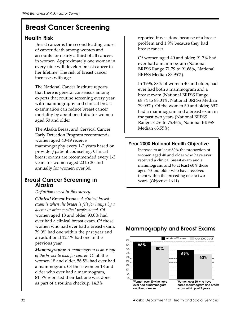## Breast Cancer Screening

#### Health Risk

Breast cancer is the second leading cause of cancer death among women and accounts for nearly a third of all cancers in women. Approximately one woman in every nine will develop breast cancer in her lifetime. The risk of breast cancer increases with age.

The National Cancer Institute reports that there is general consensus among experts that routine screening every year with mammography and clinical breast examination can reduce breast cancer mortality by about one-third for women aged 50 and older.

The Alaska Breast and Cervical Cancer Early Detection Program recommends women aged 40-49 receive mammography every 1-2 years based on provider/patient counseling. Clinical breast exams are recommended every 1-3 years for women aged 20 to 30 and annually for women over 30.

#### Breast Cancer Screening in Alaska

Definitions used in this survey:

Clinical Breast Exams: A clinical breast exam is when the breast is felt for lumps by a doctor or other medical professional. Of women aged 18 and older, 93.0% had ever had a clinical breast exam. Of those women who had ever had a breast exam, 79.0% had one within the past year and an additional 12.4% had one in the previous year.

Mammography: A mammogram is an x-ray of the breast to look for cancer. Of all the women 18 and older, 56.5% had ever had a mammogram. Of those women 18 and older who ever had a mammogram, 81.5% reported their last one was done as part of a routine checkup, 14.3%

reported it was done because of a breast problem and 1.9% because they had breast cancer.

Of women aged 40 and older, 91.7% had ever had a mammogram (National BRFSS Range 71.79 to 91.66%, National BRFSS Median 83.95%).

In 1996, 88% of women 40 and older, had ever had both a mammogram and a breast exam (National BRFSS Range 68.74 to 88.04%, National BRFSS Median 79.09%). Of the women 50 and older, 69% had a mammogram and a breast exam in the past two years (National BRFSS Range 51.76 to 75.46%, National BRFSS Median 63.55%).

#### Year 2000 National Health Objective

Increase to at least 80% the proportion of women aged 40 and older who have ever received a clinical breast exam and a mammogram, and to at least 60% those aged 50 and older who have received them within the preceding one to two years. (Objective 16.11)



#### **Mammography and Breast Exams**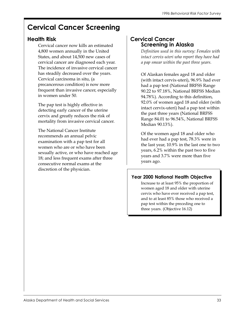## Cervical Cancer Screening

### Health Risk

Cervical cancer now kills an estimated 4,800 women annually in the United States, and about 14,500 new cases of cervical cancer are diagnosed each year. The incidence of invasive cervical cancer has steadily decreased over the years. Cervical carcinoma in situ, (a precancerous condition) is now more frequent than invasive cancer, especially in women under 50.

The pap test is highly effective in detecting early cancer of the uterine cervix and greatly reduces the risk of mortality from invasive cervical cancer.

The National Cancer Institute recommends an annual pelvic examination with a pap test for all women who are or who have been sexually active, or who have reached age 18; and less frequent exams after three consecutive normal exams at the discretion of the physician.

#### Cervical Cancer Screening in Alaska

Definition used in this survey: Females with intact cervix-uteri who report they have had a pap smear within the past three years.

Of Alaskan females aged 18 and older (with intact cervix-uteri), 96.9% had ever had a pap test (National BRFSS Range 90.22 to 97.18%, National BRFSS Median 94.78%). According to this definition, 92.0% of women aged 18 and older (with intact cervix-uteri) had a pap test within the past three years (National BRFSS Range 84.01 to 96.54%, National BRFSS Median 90.13%).

Of the women aged 18 and older who had ever had a pap test, 78.3% were in the last year, 10.9% in the last one to two years, 6.2% within the past two to five years and 3.7% were more than five years ago.

#### Year 2000 National Health Objective

Increase to at least 95% the proportion of women aged 18 and older with uterine cervix who have ever received a pap test, and to at least 85% those who received a pap test within the preceding one to three years. (Objective 16.12)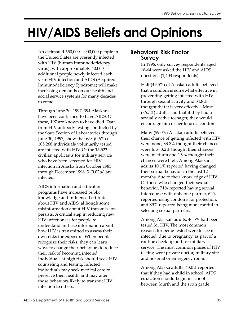## HIV/AIDS Beliefs and Opinions

An estimated 650,000 – 900,000 people in the United States are presently infected with HIV (human immunodeficiency virus), with approximately 40,000 additional people newly infected each year. HIV infection and AIDS (Acquired Immunodeficiency Syndrome) will make increasing demands on our health and social service systems for many decades to come.

Through June 30, 1997, 394 Alaskans have been confirmed to have AIDS. Of these, 197 are known to have died. Data from HIV antibody testing conducted by the State Section of Laboratories through June 30, 1997, show that 653 (0.6%) of 105,268 individuals voluntarily tested are infected with HIV. Of the 15,523 civilian applicants for military service who have been screened for HIV infection in Alaska from October 1985 through December 1996, 3 (0.02%) are infected.

AIDS information and education programs have increased public knowledge and influenced attitudes about HIV and AIDS, although some misinformation about HIV transmission persists. A critical step in reducing new HIV infections is for people to understand and use information about how HIV is transmitted to assess their own risks for exposure. When people recognize their risks, they can learn ways to change their behaviors to reduce their risk of becoming infected. Individuals at high risk should seek HIV counseling and testing. Infected individuals may seek medical care to preserve their health, and may alter those behaviors likely to transmit HIV infection to others.

#### Behavioral Risk Factor Survey

In 1996, only survey respondents aged 18-64 were asked the HIV and AIDS questions (1,403 respondents).

Half (49.5%) of Alaskan adults believed that a condom is somewhat effective in preventing getting infected with HIV through sexual activity and 34.8% thought that it is very effective. Most (86.7%) adults said that if they had a sexually active teenager, they would encourage him or her to use a condom.

Many (59.0%) Alaskan adults believed their chance of getting infected with HIV were none, 33.8% thought their chances were low, 3.2% thought their chances were medium and 1.9% thought their chances were high. Among Alaskan adults 10.1% reported having changed their sexual behavior in the last 12 months, due to their knowledge of HIV. Of those who changed their sexual behavior, 71% reported having sexual intercourse with only one partner, 62% reported using condoms for protection, and 89% reported being more careful in selecting sexual partners.

Among Alaskan adults, 46.5% had been tested for HIV. The most common reasons for being tested were to see if infected, due to pregnancy, as part of a routine check up and for military service. The most common places of HIV testing were private doctor, military site and hospital or emergency room.

Among Alaska adults, 43.0% reported that if they had a child in school, AIDS education should begin in school between fourth and the sixth grade.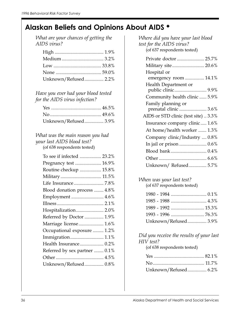## Alaskan Beliefs and Opinions About AIDS ◆

What are your chances of getting the AIDS virus?

| Unknown/Refused 2.2% |
|----------------------|
|                      |

Have you ever had your blood tested for the AIDS virus infection?

| Unknown/Refused 3.9% |  |
|----------------------|--|

#### What was the main reason you had your last AIDS blood test? (of 638 respondents tested)

| To see if infected  23.2%     |  |
|-------------------------------|--|
| Pregnancy test  16.9%         |  |
| Routine checkup  15.8%        |  |
|                               |  |
|                               |  |
| Blood donation process  4.8%  |  |
| Employment  4.6%              |  |
|                               |  |
| Hospitalization 2.0%          |  |
| Referred by Doctor  1.9%      |  |
| Marriage license 1.6%         |  |
| Occupational exposure  1.2%   |  |
| Immigration 1.1%              |  |
| Health Insurance 0.2%         |  |
| Referred by sex partner  0.1% |  |
|                               |  |
| Unknown/Refused 0.8%          |  |
|                               |  |

Where did you have your last blood test for the AIDS virus? (of 637 respondents tested)

#### When was your last test?

(of 637 respondents tested)

| 1989 - 1992  15.3%   |  |
|----------------------|--|
|                      |  |
| Unknown/Refused 3.9% |  |

Did you receive the results of your last HIV test?

(of 638 respondents tested)

| Unknown/Refused 6.2% |  |
|----------------------|--|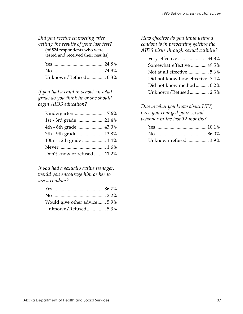Did you receive counseling after getting the results of your last test? (of 524 respondents who were

tested and received their results)

| Unknown/Refused 0.3% |  |
|----------------------|--|

If you had a child in school, in what grade do you think he or she should begin AIDS education?

| 1st - 3rd grade  21.4%       |  |
|------------------------------|--|
| 4th - 6th grade  43.0%       |  |
| 7th - 9th grade  13.8%       |  |
| 10th - 12th grade  1.4%      |  |
|                              |  |
| Don't know or refused  11.2% |  |
|                              |  |

If you had a sexually active teenager, would you encourage him or her to use a condom?

| Would give other advice 5.9% |  |
|------------------------------|--|
| Unknown/Refused 5.3%         |  |

#### How effective do you think using a condom is in preventing getting the AIDS virus through sexual activity?

| Somewhat effective  49.5%        |
|----------------------------------|
|                                  |
| Did not know how effective. 7.4% |
| Did not know method  0.2%        |
| Unknown/Refused 2.5%             |

Due to what you know about HIV, have you changed your sexual behavior in the last 12 months?

| Unknown refused  3.9% |  |
|-----------------------|--|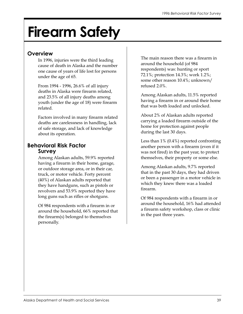# Firearm Safety

#### **Overview**

In 1996, injuries were the third leading cause of death in Alaska and the number one cause of years of life lost for persons under the age of 65.

From 1994 - 1996, 26.6% of all injury deaths in Alaska were firearm related, and 23.5% of all injury deaths among youth (under the age of 18) were firearm related.

Factors involved in many firearm related deaths are carelessness in handling, lack of safe storage, and lack of knowledge about its operation.

#### Behavioral Risk Factor Survey

Among Alaskan adults, 59.9% reported having a firearm in their home, garage, or outdoor storage area, or in their car, truck, or motor vehicle. Forty percent (40%) of Alaskan adults reported that they have handguns, such as pistols or revolvers and 53.9% reported they have long guns such as rifles or shotguns.

Of 984 respondents with a firearm in or around the household, 66% reported that the firearm(s) belonged to themselves personally.

The main reason there was a firearm in around the household (of 984 respondents) was: hunting or sport 72.1%; protection 14.3%; work 1.2%; some other reason 10.4%; unknown/ refused 2.0%.

Among Alaskan adults, 11.5% reported having a firearm in or around their home that was both loaded and unlocked.

About 2% of Alaskan adults reported carrying a loaded firearm outside of the home for protection against people during the last 30 days.

Less than 1% (0.4%) reported confronting another person with a firearm (even if it was not fired) in the past year, to protect themselves, their property or some else.

Among Alaskan adults, 9.7% reported that in the past 30 days, they had driven or been a passenger in a motor vehicle in which they knew there was a loaded firearm.

Of 984 respondents with a firearm in or around the household, 16% had attended a firearm safety workshop, class or clinic in the past three years.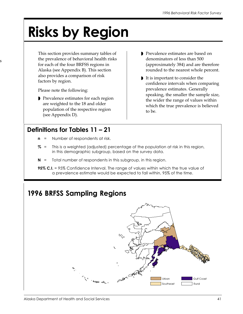# Risks by Region

This section provides summary tables of the prevalence of behavioral health risks for each of the four BRFSS regions in Alaska (see Appendix B). This section also provides a comparison of risk factors by region.

Please note the following:

s

◗ Prevalence estimates for each region are weighted to the 18 and older population of the respective region (see Appendix D).

### Definitions for Tables 11 – 21

- $n =$  Number of respondents at risk.
- $% =$  This is a weighted (adjusted) percentage of the population at risk in this region, in this demographic subgroup, based on the survey data.
- $N =$  Total number of respondents in this subgroup, in this region.
- 95% C.I. = 95% Confidence Interval. The range of values within which the true value of a prevalence estimate would be expected to fall within, 95% of the time.



◗ It is important to consider the confidence intervals when comparing prevalence estimates. Generally speaking, the smaller the sample size, the wider the range of values within which the true prevalence is believed to be.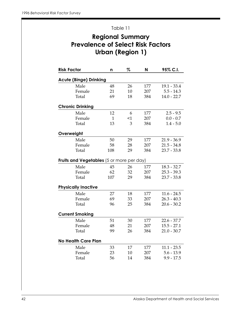## Regional Summary Prevalence of Select Risk Factors Urban (Region 1)

| <b>Risk Factor</b>                               | n            | %     | N   | 95% C.I.      |
|--------------------------------------------------|--------------|-------|-----|---------------|
| <b>Acute (Binge) Drinking</b>                    |              |       |     |               |
| Male                                             | 48           | 26    | 177 | $19.1 - 33.4$ |
| Female                                           | 21           | 10    | 207 | $5.5 - 14.3$  |
| Total                                            | 69           | 18    | 384 | $14.0 - 22.7$ |
| <b>Chronic Drinking</b>                          |              |       |     |               |
| Male                                             | 12           | 6     | 177 | $2.5 - 9.5$   |
| Female                                           | $\mathbf{1}$ | $<$ 1 | 207 | $0.0 - 0.7$   |
| Total                                            | 13           | 3     | 384 | $1.4 - 5.0$   |
| Overweight                                       |              |       |     |               |
| Male                                             | 50           | 29    | 177 | $21.9 - 36.9$ |
| Female                                           | 58           | 28    | 207 | $21.5 - 34.8$ |
| Total                                            | 108          | 29    | 384 | $23.7 - 33.8$ |
| <b>Fruits and Vegetables</b> (5 or more per day) |              |       |     |               |
| Male                                             | 45           | 26    | 177 | $18.3 - 32.7$ |
| Female                                           | 62           | 32    | 207 | $25.3 - 39.3$ |
| Total                                            | 107          | 29    | 384 | $23.7 - 33.8$ |
| <b>Physically Inactive</b>                       |              |       |     |               |
| Male                                             | 27           | 18    | 177 | $11.6 - 24.5$ |
| Female                                           | 69           | 33    | 207 | $26.3 - 40.3$ |
| Total                                            | 96           | 25    | 384 | $20.6 - 30.2$ |
| <b>Current Smoking</b>                           |              |       |     |               |
| Male                                             | 51           | 30    | 177 | $22.6 - 37.7$ |
| Female                                           | 48           | 21    | 207 | $15.5 - 27.1$ |
| Total                                            | 99           | 26    | 384 | $21.0 - 30.7$ |
| <b>No Health Care Plan</b>                       |              |       |     |               |
| Male                                             | 33           | 17    | 177 | $11.1 - 23.5$ |
| Female                                           | 23           | 10    | 207 | $5.6 - 13.9$  |
| Total                                            | 56           | 14    | 384 | $9.9 - 17.5$  |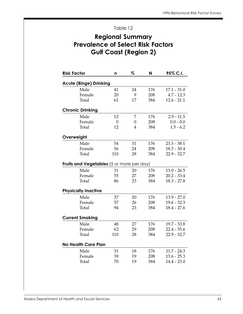#### Regional Summary Prevalence of Select Risk Factors Gulf Coast (Region 2)

| <b>Risk Factor</b>                               | n              | %  | N   | 95% C.I.      |
|--------------------------------------------------|----------------|----|-----|---------------|
| <b>Acute (Binge) Drinking</b>                    |                |    |     |               |
| Male                                             | 41             | 24 | 176 | $17.1 - 31.0$ |
| Female                                           | 20             | 9  | 208 | $4.7 - 12.3$  |
| Total                                            | 61             | 17 | 384 | $12.6 - 21.1$ |
| <b>Chronic Drinking</b>                          |                |    |     |               |
| Male                                             | 12             | 7  | 176 | $2.9 - 11.5$  |
| Female                                           | $\overline{0}$ | 0  | 208 | $0.0 - 0.0$   |
| Total                                            | 12             | 4  | 384 | $1.5 - 6.2$   |
| Overweight                                       |                |    |     |               |
| Male                                             | 54             | 31 | 176 | $23.3 - 38.1$ |
| Female                                           | 56             | 24 | 208 | $18.3 - 30.4$ |
| Total                                            | 110            | 28 | 384 | $22.9 - 32.7$ |
| <b>Fruits and Vegetables</b> (5 or more per day) |                |    |     |               |
| Male                                             | 31             | 20 | 176 | $13.0 - 26.5$ |
| Female                                           | 55             | 27 | 208 | $20.2 - 33.4$ |
| Total                                            | 86             | 23 | 384 | $18.3 - 27.8$ |
| <b>Physically Inactive</b>                       |                |    |     |               |
| Male                                             | 37             | 20 | 176 | $13.9 - 27.0$ |
| Female                                           | 57             | 26 | 208 | $19.6 - 32.3$ |
| Total                                            | 94             | 23 | 384 | $18.4 - 27.6$ |
| <b>Current Smoking</b>                           |                |    |     |               |
| Male                                             | 48             | 27 | 176 | $19.7 - 33.8$ |
| Female                                           | 62             | 29 | 208 | $22.4 - 35.6$ |
| Total                                            | 110            | 28 | 384 | $22.9 - 32.7$ |
| <b>No Health Care Plan</b>                       |                |    |     |               |
| Male                                             | 31             | 18 | 176 | $11.7 - 24.3$ |
| Female                                           | 39             | 19 | 208 | $13.6 - 25.3$ |
| Total                                            | 70             | 19 | 384 | $14.4 - 23.0$ |
|                                                  |                |    |     |               |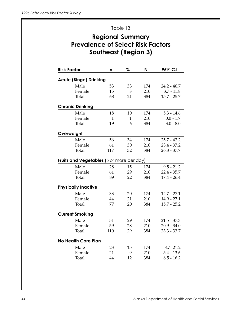#### Regional Summary Prevalence of Select Risk Factors Southeast (Region 3)

| <b>Risk Factor</b>                               | n            | %            | N   | 95% C.I.      |
|--------------------------------------------------|--------------|--------------|-----|---------------|
| <b>Acute (Binge) Drinking</b>                    |              |              |     |               |
| Male                                             | 53           | 33           | 174 | $24.2 - 40.7$ |
| Female                                           | 15           | 8            | 210 | $3.7 - 11.8$  |
| Total                                            | 68           | 21           | 384 | $15.7 - 25.7$ |
| <b>Chronic Drinking</b>                          |              |              |     |               |
| Male                                             | 18           | 10           | 174 | $5.3 - 14.6$  |
| Female                                           | $\mathbf{1}$ | $\mathbf{1}$ | 210 | $0.0 - 1.7$   |
| Total                                            | 19           | 6            | 384 | $3.0 - 8.0$   |
| Overweight                                       |              |              |     |               |
| Male                                             | 56           | 34           | 174 | $25.7 - 42.2$ |
| Female                                           | 61           | 30           | 210 | $23.4 - 37.2$ |
| Total                                            | 117          | 32           | 384 | $26.8 - 37.7$ |
| <b>Fruits and Vegetables</b> (5 or more per day) |              |              |     |               |
| Male                                             | 28           | 15           | 174 | $9.5 - 21.2$  |
| Female                                           | 61           | 29           | 210 | $22.4 - 35.7$ |
| Total                                            | 89           | 22           | 384 | $17.4 - 26.4$ |
| <b>Physically Inactive</b>                       |              |              |     |               |
| Male                                             | 33           | 20           | 174 | $12.7 - 27.1$ |
| Female                                           | 44           | 21           | 210 | $14.9 - 27.1$ |
| Total                                            | 77           | 20           | 384 | $15.7 - 25.2$ |
| <b>Current Smoking</b>                           |              |              |     |               |
| Male                                             | 51           | 29           | 174 | $21.5 - 37.3$ |
| Female                                           | 59           | 28           | 210 | $20.9 - 34.0$ |
| Total                                            | 110          | 29           | 384 | $23.3 - 33.7$ |
| <b>No Health Care Plan</b>                       |              |              |     |               |
| Male                                             | 23           | 15           | 174 | $8.7 - 21.2$  |
| Female                                           | 21           | 9            | 210 | $5.4 - 13.6$  |
| Total                                            | 44           | 12           | 384 | $8.5 - 16.2$  |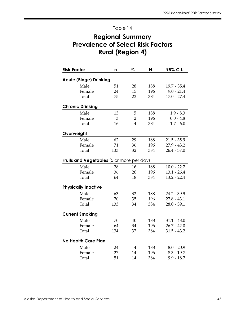#### Regional Summary Prevalence of Select Risk Factors Rural (Region 4)

| <b>Risk Factor</b>                               | n   | %              | N   | 95% C.I.      |
|--------------------------------------------------|-----|----------------|-----|---------------|
| <b>Acute (Binge) Drinking</b>                    |     |                |     |               |
| Male                                             | 51  | 28             | 188 | $19.7 - 35.4$ |
| Female                                           | 24  | 15             | 196 | $9.0 - 21.4$  |
| Total                                            | 75  | 22             | 384 | $17.0 - 27.4$ |
| <b>Chronic Drinking</b>                          |     |                |     |               |
| Male                                             | 13  | 5              | 188 | $1.9 - 8.3$   |
| Female                                           | 3   | $\overline{2}$ | 196 | $0.0 - 4.8$   |
| Total                                            | 16  | $\overline{4}$ | 384 | $1.7 - 6.0$   |
| Overweight                                       |     |                |     |               |
| Male                                             | 62  | 29             | 188 | $21.5 - 35.9$ |
| Female                                           | 71  | 36             | 196 | $27.9 - 43.2$ |
| Total                                            | 133 | 32             | 384 | $26.4 - 37.0$ |
| <b>Fruits and Vegetables</b> (5 or more per day) |     |                |     |               |
| Male                                             | 28  | 16             | 188 | $10.0 - 22.7$ |
| Female                                           | 36  | 20             | 196 | $13.1 - 26.4$ |
| Total                                            | 64  | 18             | 384 | $13.2 - 22.4$ |
| <b>Physically Inactive</b>                       |     |                |     |               |
| Male                                             | 63  | 32             | 188 | $24.2 - 39.9$ |
| Female                                           | 70  | 35             | 196 | $27.8 - 43.1$ |
| Total                                            | 133 | 34             | 384 | $28.0 - 39.1$ |
| <b>Current Smoking</b>                           |     |                |     |               |
| Male                                             | 70  | 40             | 188 | $31.1 - 48.0$ |
| Female                                           | 64  | 34             | 196 | $26.7 - 42.0$ |
| Total                                            | 134 | 37             | 384 | $31.5 - 43.2$ |
| <b>No Health Care Plan</b>                       |     |                |     |               |
| Male                                             | 24  | 14             | 188 | $8.0 - 20.9$  |
| Female                                           | 27  | 14             | 196 | $8.3 - 19.7$  |
| Total                                            | 51  | 14             | 384 | $9.9 - 18.7$  |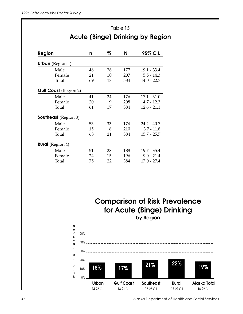## Table 15 Acute (Binge) Drinking by Region

| Region                       | n  | %  | N   | 95% C.I.      |
|------------------------------|----|----|-----|---------------|
| <b>Urban</b> (Region 1)      |    |    |     |               |
| Male                         | 48 | 26 | 177 | $19.1 - 33.4$ |
| Female                       | 21 | 10 | 207 | $5.5 - 14.3$  |
| Total                        | 69 | 18 | 384 | $14.0 - 22.7$ |
| <b>Gulf Coast</b> (Region 2) |    |    |     |               |
| Male                         | 41 | 24 | 176 | 17.1 - 31.0   |
| Female                       | 20 | 9  | 208 | $4.7 - 12.3$  |
| Total                        | 61 | 17 | 384 | $12.6 - 21.1$ |
| <b>Southeast</b> (Region 3)  |    |    |     |               |
| Male                         | 53 | 33 | 174 | $24.2 - 40.7$ |
| Female                       | 15 | 8  | 210 | $3.7 - 11.8$  |
| Total                        | 68 | 21 | 384 | $15.7 - 25.7$ |
| <b>Rural</b> (Region 4)      |    |    |     |               |
| Male                         | 51 | 28 | 188 | 19.7 - 35.4   |
| Female                       | 24 | 15 | 196 | $9.0 - 21.4$  |
| Total                        | 75 | 22 | 384 | $17.0 - 27.4$ |

**Comparison of Risk Prevalence for Acute (Binge) Drinking by Region**

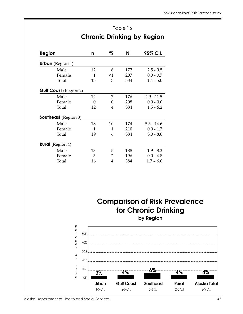| Table 16                          |  |
|-----------------------------------|--|
| <b>Chronic Drinking by Region</b> |  |

| Region                       | n  | %     | N   | 95% C.I.     |
|------------------------------|----|-------|-----|--------------|
| <b>Urban</b> (Region $1$ )   |    |       |     |              |
| Male                         | 12 | 6     | 177 | $2.5 - 9.5$  |
| Female                       | 1  | $<$ 1 | 207 | $0.0 - 0.7$  |
| Total                        | 13 | 3     | 384 | $1.4 - 5.0$  |
| <b>Gulf Coast</b> (Region 2) |    |       |     |              |
| Male                         | 12 | 7     | 176 | $2.9 - 11.5$ |
| Female                       | 0  | 0     | 208 | $0.0 - 0.0$  |
| Total                        | 12 | 4     | 384 | $1.5 - 6.2$  |
| <b>Southeast</b> (Region 3)  |    |       |     |              |
| Male                         | 18 | 10    | 174 | $5.3 - 14.6$ |
| Female                       | 1  | 1     | 210 | $0.0 - 1.7$  |
| Total                        | 19 | 6     | 384 | $3.0 - 8.0$  |
| <b>Rural</b> (Region 4)      |    |       |     |              |
| Male                         | 13 | 5     | 188 | $1.9 - 8.3$  |
| Female                       | 3  | 2     | 196 | $0.0 - 4.8$  |
| Total                        | 16 | 4     | 384 | $1.7 - 6.0$  |

**Comparison of Risk Prevalence for Chronic Drinking**

**by Region**

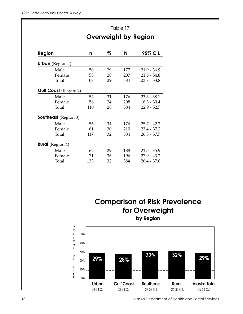|                                                             |     | Table 17 |     |                             |  |
|-------------------------------------------------------------|-----|----------|-----|-----------------------------|--|
|                                                             |     |          |     | <b>Overweight by Region</b> |  |
| Region                                                      | n   | %        | N   | 95% C.I.                    |  |
| <b>Urban</b> (Region 1)                                     |     |          |     |                             |  |
| Male                                                        | 50  | 29       | 177 | $21.9 - 36.9$               |  |
| Female                                                      | 58  | 28       | 207 | $21.5 - 34.8$               |  |
| Total                                                       | 108 | 29       | 384 | $23.7 - 33.8$               |  |
| <b>Gulf Coast</b> (Region 2)                                |     |          |     |                             |  |
| Male                                                        | 54  | 31       | 176 | $23.3 - 38.1$               |  |
| Female                                                      | 56  | 24       | 208 | $18.3 - 30.4$               |  |
| Total                                                       | 110 | 28       | 384 | $22.9 - 32.7$               |  |
| <b>Southeast</b> (Region 3)                                 |     |          |     |                             |  |
| Male                                                        | 56  | 34       | 174 | $25.7 - 42.2$               |  |
| Female                                                      | 61  | 30       | 210 | $23.4 - 37.2$               |  |
| Total                                                       | 117 | 32       | 384 | $26.8 - 37.7$               |  |
| $\mathbf{D} \cdot \mathbf{w} = \mathbf{D} \cdot \mathbf{D}$ |     |          |     |                             |  |

| <b>Rural</b> (Region 4) |     |    |     |               |
|-------------------------|-----|----|-----|---------------|
| Male                    | 62  | 29 | 188 | $21.5 - 35.9$ |
| Female                  | 71  | 36 | 196 | $27.9 - 43.2$ |
| Total                   | 133 | 32 | 384 | $26.4 - 37.0$ |
|                         |     |    |     |               |

## **Comparison of Risk Prevalence for Overweight**

**by Region**

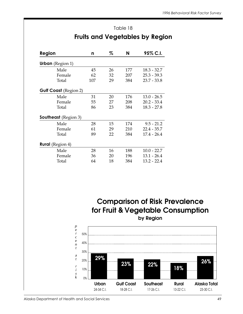|                              |     |    |     | <b>Fruits and Vegetables by Regior</b> |
|------------------------------|-----|----|-----|----------------------------------------|
| Region                       | n   | %  | N   | 95% C.I.                               |
| <b>Urban</b> (Region 1)      |     |    |     |                                        |
| Male                         | 45  | 26 | 177 | $18.3 - 32.7$                          |
| Female                       | 62  | 32 | 207 | $25.3 - 39.3$                          |
| Total                        | 107 | 29 | 384 | $23.7 - 33.8$                          |
| <b>Gulf Coast (Region 2)</b> |     |    |     |                                        |
| Male                         | 31  | 20 | 176 | $13.0 - 26.5$                          |
| Female                       | 55  | 27 | 208 | $20.2 - 33.4$                          |
| Total                        | 86  | 23 | 384 | $18.3 - 27.8$                          |

## Fruits and Vegetables by Region

Table 18

| Total                       | 86 | 23 | 384 | 18.3 - 27.8   |
|-----------------------------|----|----|-----|---------------|
| <b>Southeast</b> (Region 3) |    |    |     |               |
| Male                        | 28 | 15 | 174 | $9.5 - 21.2$  |
| Female                      | 61 | 29 | 210 | $22.4 - 35.7$ |
| Total                       | 89 | 22 | 384 | $17.4 - 26.4$ |
| <b>Rural</b> (Region 4)     |    |    |     |               |
| Male                        | 28 | 16 | 188 | $10.0 - 22.7$ |
| Female                      | 36 | 20 | 196 | $13.1 - 26.4$ |
| Total                       | 64 | 18 | 384 | $13.2 - 22.4$ |

**Comparison of Risk Prevalence for Fruit & Vegetable Consumption by Region**

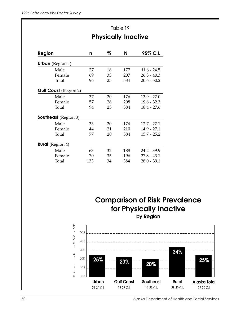|                              | Table 19 |                            |     |               |  |
|------------------------------|----------|----------------------------|-----|---------------|--|
| Region                       |          | <b>Physically Inactive</b> |     |               |  |
|                              | n        | %                          | N   | 95% C.I.      |  |
| <b>Urban</b> (Region 1)      |          |                            |     |               |  |
| Male                         | 27       | 18                         | 177 | $11.6 - 24.5$ |  |
| Female                       | 69       | 33                         | 207 | $26.3 - 40.3$ |  |
| Total                        | 96       | 25                         | 384 | $20.6 - 30.2$ |  |
| <b>Gulf Coast</b> (Region 2) |          |                            |     |               |  |
| Male                         | 37       | 20                         | 176 | $13.9 - 27.0$ |  |
| Female                       | 57       | 26                         | 208 | $19.6 - 32.3$ |  |
| Total                        | 94       | 23                         | 384 | $18.4 - 27.6$ |  |
| <b>Southeast</b> (Region 3)  |          |                            |     |               |  |
| Male                         | 33       | 20                         | 174 | $12.7 - 27.1$ |  |
| Female                       | 44       | 21                         | 210 | $14.9 - 27.1$ |  |
| Total                        | 77       | 20                         | 384 | $15.7 - 25.2$ |  |
| <b>Rural</b> (Region 4)      |          |                            |     |               |  |
| Male                         | 63       | 32                         | 188 | $24.2 - 39.9$ |  |
| Female                       | 70       | 35                         | 196 | $27.8 - 43.1$ |  |
| Total                        | 133      | 34                         | 384 | $28.0 - 39.1$ |  |

**Comparison of Risk Prevalence for Physically Inactive**



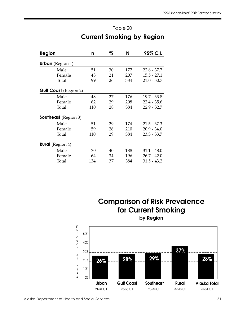### Table 20 Current Smoking by Region

| Region                       | n   | %  | N   | 95% C.I.      |
|------------------------------|-----|----|-----|---------------|
| <b>Urban</b> (Region 1)      |     |    |     |               |
| Male                         | 51  | 30 | 177 | $22.6 - 37.7$ |
| Female                       | 48  | 21 | 207 | $15.5 - 27.1$ |
| Total                        | 99  | 26 | 384 | $21.0 - 30.7$ |
| <b>Gulf Coast</b> (Region 2) |     |    |     |               |
| Male                         | 48  | 27 | 176 | 19.7 - 33.8   |
| Female                       | 62  | 29 | 208 | $22.4 - 35.6$ |
| Total                        | 110 | 28 | 384 | $22.9 - 32.7$ |
| <b>Southeast</b> (Region 3)  |     |    |     |               |
| Male                         | 51  | 29 | 174 | $21.5 - 37.3$ |
| Female                       | 59  | 28 | 210 | $20.9 - 34.0$ |
| Total                        | 110 | 29 | 384 | $23.3 - 33.7$ |
| <b>Rural</b> (Region 4)      |     |    |     |               |
| Male                         | 70  | 40 | 188 | $31.1 - 48.0$ |
| Female                       | 64  | 34 | 196 | $26.7 - 42.0$ |
| Total                        | 134 | 37 | 384 | $31.5 - 43.2$ |

**Comparison of Risk Prevalence for Current Smoking**



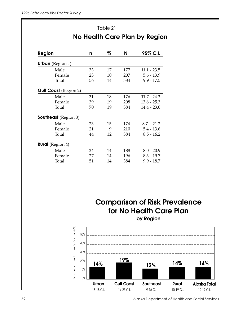| Table 21                      |    |    |     |               |  |  |
|-------------------------------|----|----|-----|---------------|--|--|
| No Health Care Plan by Region |    |    |     |               |  |  |
| Region                        | n  | %  | N   | 95% C.I.      |  |  |
| <b>Urban</b> (Region 1)       |    |    |     |               |  |  |
| Male                          | 33 | 17 | 177 | $11.1 - 23.5$ |  |  |
| Female                        | 23 | 10 | 207 | $5.6 - 13.9$  |  |  |
| Total                         | 56 | 14 | 384 | $9.9 - 17.5$  |  |  |
| <b>Gulf Coast (Region 2)</b>  |    |    |     |               |  |  |
| Male                          | 31 | 18 | 176 | $11.7 - 24.3$ |  |  |
| Female                        | 39 | 19 | 208 | $13.6 - 25.3$ |  |  |
| Total                         | 70 | 19 | 384 | $14.4 - 23.0$ |  |  |
| <b>Southeast</b> (Region 3)   |    |    |     |               |  |  |
| Male                          | 23 | 15 | 174 | $8.7 - 21.2$  |  |  |
| Female                        | 21 | 9  | 210 | $5.4 - 13.6$  |  |  |
| Total                         | 44 | 12 | 384 | $8.5 - 16.2$  |  |  |
| <b>Rural</b> (Region 4)       |    |    |     |               |  |  |
| Male                          | 24 | 14 | 188 | $8.0 - 20.9$  |  |  |
| Female                        | 27 | 14 | 196 | $8.3 - 19.7$  |  |  |
| Total                         | 51 | 14 | 384 | $9.9 - 18.7$  |  |  |

**Comparison of Risk Prevalence for No Health Care Plan by Region**

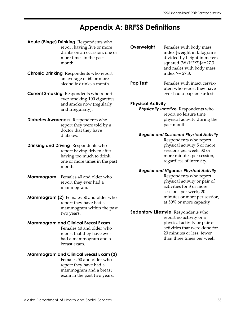## Appendix A: BRFSS Definitions

 $\overline{\phantom{a}}$ 

- Acute (Binge) Drinking Respondents who report having five or more drinks on an occasion, one or more times in the past month.
- **Chronic Drinking** Respondents who report an average of 60 or more alcoholic drinks a month.
- **Current Smoking** Respondents who report ever smoking 100 cigarettes and smoke now (regularly and irregularly).
- Diabetes Awareness Respondents who report they were told by a doctor that they have diabetes.
- **Drinking and Driving** Respondents who report having driven after having too much to drink, one or more times in the past month.
- **Mammogram** Females 40 and older who report they ever had a mammogram.
- **Mammogram (2)** Females 50 and older who report they have had a mammogram within the past two years.

#### Mammogram and Clinical Breast Exam

Females 40 and older who report that they have ever had a mammogram and a breast exam.

#### Mammogram and Clinical Breast Exam (2)

Females 50 and older who report they have had a mammogram and a breast exam in the past two years.

| Overweight               | Females with body mass<br>index [weight in kilograms<br>divided by height in meters<br>squared (W/H**2)]>=27.3<br>and males with body mass<br>index $\ge$ = 27.8.       |
|--------------------------|-------------------------------------------------------------------------------------------------------------------------------------------------------------------------|
| <b>Pap Test</b>          | Females with intact cervix-<br>uteri who report they have<br>ever had a pap smear test.                                                                                 |
| <b>Physical Activity</b> |                                                                                                                                                                         |
|                          | Physically Inactive Respondents who<br>report no leisure time<br>physical activity during the<br>past month.                                                            |
|                          | <b>Regular and Sustained Physical Activity</b>                                                                                                                          |
|                          | Respondents who report<br>physical activity 5 or more<br>sessions per week, 30 or<br>more minutes per session,<br>regardless of intensity.                              |
|                          | <b>Regular and Vigorous Physical Activity</b>                                                                                                                           |
|                          | Respondents who report<br>physical activity or pair of<br>activities for 3 or more<br>sessions per week, 20<br>minutes or more per session,<br>at 50% or more capacity. |
|                          | Sedentary Lifestyle Respondents who                                                                                                                                     |
|                          | report no activity or a                                                                                                                                                 |
|                          | physical activity or pair of                                                                                                                                            |
|                          | activities that were done for                                                                                                                                           |
|                          | 20 minutes or less, fewer<br>than three times per week.                                                                                                                 |
|                          |                                                                                                                                                                         |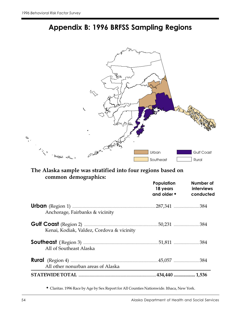

## Appendix B: 1996 BRFSS Sampling Regions

## common demographics:

|                                                               | Population<br>18 years<br>and older $\bullet$ | Number of<br><i>interviews</i><br>conducted |
|---------------------------------------------------------------|-----------------------------------------------|---------------------------------------------|
|                                                               |                                               |                                             |
| Anchorage, Fairbanks & vicinity                               |                                               |                                             |
|                                                               |                                               |                                             |
| Kenai, Kodiak, Valdez, Cordova & vicinity                     |                                               |                                             |
|                                                               |                                               |                                             |
| All of Southeast Alaska                                       |                                               |                                             |
| <b>Rural</b> (Region 4) <b><i>manufacture and a 384 n</i></b> |                                               |                                             |
| All other nonurban areas of Alaska                            |                                               |                                             |
|                                                               |                                               |                                             |

◆ Claritas. 1996 Race by Age by Sex Report for All Counties Nationwide. Ithaca, New York.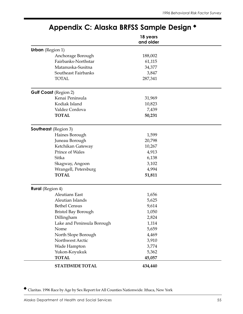|                              | 18 years<br>and older |  |
|------------------------------|-----------------------|--|
| <b>Urban</b> (Region 1)      |                       |  |
| Anchorage Borough            | 188,002               |  |
| Fairbanks-Northstar          | 61,115                |  |
| Matanuska-Susitna            | 34,377                |  |
| Southeast Fairbanks          | 3,847                 |  |
| <b>TOTAL</b>                 | 287,341               |  |
| <b>Gulf Coast (Region 2)</b> |                       |  |
| Kenai Peninsula              | 31,969                |  |
| Kodiak Island                | 10,823                |  |
| Valdez Cordova               | 7,439                 |  |
| <b>TOTAL</b>                 | 50,231                |  |
| <b>Southeast</b> (Region 3)  |                       |  |
| Haines Borough               | 1,599                 |  |
| Juneau Borough               | 20,798                |  |
| Ketchikan Gateway            | 10,267                |  |
| <b>Prince of Wales</b>       | 4,913                 |  |
| Sitka                        | 6,138                 |  |
| Skagway, Angoon              | 3,102                 |  |
| Wrangell, Petersburg         | 4,994                 |  |
| <b>TOTAL</b>                 | 51,811                |  |
| <b>Rural</b> (Region 4)      |                       |  |
| <b>Aleutians East</b>        | 1,656                 |  |
| Aleutian Islands             | 5,625                 |  |
| <b>Bethel Census</b>         | 9,614                 |  |
| <b>Bristol Bay Borough</b>   | 1,050                 |  |
| Dillingham                   | 2,824                 |  |
| Lake and Peninsula Borough   | 1,114                 |  |
| Nome                         | 5,659                 |  |
| North Slope Borough          | 4,469                 |  |
| Northwest Arctic             | 3,910                 |  |
| Wade Hampton                 | 3,774                 |  |
| Yukon-Koyukuk                | 5,362                 |  |
| <b>TOTAL</b>                 | 45,057                |  |
| <b>STATEWIDE TOTAL</b>       | 434,440               |  |

## Appendix C: Alaska BRFSS Sample Design ◆

◆ Claritas. 1996 Race by Age by Sex Report for All Counties Nationwide. Ithaca, New York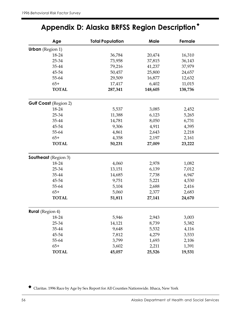## Appendix D: Alaska BRFSS Region Description ◆

| Age                          | <b>Total Population</b> | Male    | Female  |
|------------------------------|-------------------------|---------|---------|
| <b>Urban</b> (Region 1)      |                         |         |         |
| 18-24                        | 36,784                  | 20,474  | 16,310  |
| 25-34                        | 73,958                  | 37,815  | 36,143  |
| 35-44                        | 79,216                  | 41,237  | 37,979  |
| 45-54                        | 50,457                  | 25,800  | 24,657  |
| 55-64                        | 29,509                  | 16,877  | 12,632  |
| $65+$                        | 17,417                  | 6,402   | 11,015  |
| <b>TOTAL</b>                 | 287,341                 | 148,605 | 138,736 |
| <b>Gulf Coast (Region 2)</b> |                         |         |         |
| 18-24                        | 5,537                   | 3,085   | 2,452   |
| 25-34                        | 11,388                  | 6,123   | 5,265   |
| 35-44                        | 14,781                  | 8,050   | 6,731   |
| 45-54                        | 9,306                   | 4,911   | 4,395   |
| 55-64                        | 4,861                   | 2,643   | 2,218   |
| $65+$                        | 4,358                   | 2,197   | 2,161   |
| <b>TOTAL</b>                 | 50,231                  | 27,009  | 23,222  |
| <b>Southeast</b> (Region 3)  |                         |         |         |
| 18-24                        | 4,060                   | 2,978   | 1,082   |
| 25-34                        | 13,151                  | 6,139   | 7,012   |
| 35-44                        | 14,685                  | 7,738   | 6,947   |
| 45-54                        | 9,751                   | 5,221   | 4,530   |
| 55-64                        | 5,104                   | 2,688   | 2,416   |
| $65+$                        | 5,060                   | 2,377   | 2,683   |
| <b>TOTAL</b>                 | 51,811                  | 27,141  | 24,670  |
| <b>Rural</b> (Region 4)      |                         |         |         |
| 18-24                        | 5,946                   | 2,943   | 3,003   |
| 25-34                        | 14,121                  | 8,739   | 5,382   |
| 35-44                        | 9,648                   | 5,532   | 4,116   |
| 45-54                        | 7,812                   | 4,279   | 3,533   |
| 55-64                        | 3,799                   | 1,693   | 2,106   |
| $65+$                        | 3,602                   | 2,211   | 1,391   |
| <b>TOTAL</b>                 | 45,057                  | 25,526  | 19,531  |

◆ Claritas. 1996 Race by Age by Sex Report for All Counties Nationwide. Ithaca, New York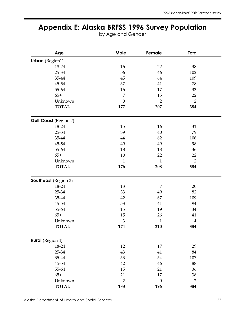## Appendix E: Alaska BRFSS 1996 Survey Population

by Age and Gender

| Age                     | Male             | Female           | <b>Total</b>     |
|-------------------------|------------------|------------------|------------------|
| <b>Urban</b> (Region1)  |                  |                  |                  |
| 18-24                   | 16               | 22               | 38               |
| 25-34                   | 56               | 46               | 102              |
| 35-44                   | 45               | 64               | 109              |
| 45-54                   | 37               | 41               | 78               |
| 55-64                   | 16               | 17               | 33               |
| $65+$                   | $\overline{7}$   | 15               | 22               |
| Unknown                 | $\boldsymbol{0}$ | $\overline{2}$   | $\overline{2}$   |
| <b>TOTAL</b>            | 177              | 207              | 384              |
| Gulf Coast (Region 2)   |                  |                  |                  |
| 18-24                   | 15               | 16               | 31               |
| 25-34                   | 39               | 40               | 79               |
| 35-44                   | 44               | 62               | 106              |
| 45-54                   | 49               | 49               | 98               |
| 55-64                   | 18               | 18               | 36               |
| $65+$                   | $10\,$           | 22               | 22               |
| Unknown                 | $\mathbf{1}$     | $\mathbf{1}$     | $\overline{2}$   |
| <b>TOTAL</b>            | 176              | 208              | 384              |
| Southeast (Region 3)    |                  |                  |                  |
| 18-24                   | 13               | 7                | 20               |
| 25-34                   | 33               | 49               | 82               |
| 35-44                   | 42               | 67               | 109              |
| 45-54                   | 53               | 41               | 94               |
| 55-64                   | 15               | 19               | 34               |
| $65+$                   | 15               | 26               | 41               |
| Unknown                 | 3                | $\mathbf 1$      | $\boldsymbol{4}$ |
| <b>TOTAL</b>            | 174              | 210              | 384              |
| <b>Rural</b> (Region 4) |                  |                  |                  |
| 18-24                   | 12               | 17               | 29               |
| 25-34                   | 43               | 41               | 84               |
| 35-44                   | 53               | 54               | 107              |
| 45-54                   | 42               | 46               | 88               |
| 55-64                   | 15               | 21               | 36               |
| $65+$                   | 21               | 17               | 38               |
| Unknown                 | $\overline{2}$   | $\boldsymbol{0}$ | $\overline{2}$   |
| <b>TOTAL</b>            | 188              | 196              | 384              |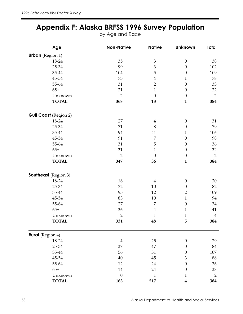## Appendix F: Alaska BRFSS 1996 Survey Population

by Age and Race

| Age                          | <b>Non-Native</b> | <b>Native</b>    | <b>Unknown</b>   | Total          |
|------------------------------|-------------------|------------------|------------------|----------------|
| <b>Urban</b> (Region 1)      |                   |                  |                  |                |
| 18-24                        | 35                | $\mathfrak{Z}$   | $\boldsymbol{0}$ | 38             |
| 25-34                        | 99                | $\mathfrak{Z}$   | $\boldsymbol{0}$ | 102            |
| 35-44                        | 104               | 5                | $\boldsymbol{0}$ | 109            |
| 45-54                        | 73                | $\boldsymbol{4}$ | $\mathbf{1}$     | 78             |
| 55-64                        | 31                | $\overline{2}$   | $\boldsymbol{0}$ | 33             |
| $65+$                        | 21                | $\mathbf{1}$     | $\boldsymbol{0}$ | 22             |
| Unknown                      | $\overline{2}$    | $\boldsymbol{0}$ | $\boldsymbol{0}$ | $\overline{2}$ |
| <b>TOTAL</b>                 | 368               | 18               | $\mathbf{1}$     | 384            |
| <b>Gulf Coast (Region 2)</b> |                   |                  |                  |                |
| 18-24                        | 27                | $\overline{4}$   | $\boldsymbol{0}$ | 31             |
| 25-34                        | 71                | 8                | $\boldsymbol{0}$ | 79             |
| 35-44                        | 94                | 11               | $\mathbf{1}$     | 106            |
| 45-54                        | 91                | $\overline{7}$   | $\boldsymbol{0}$ | 98             |
| 55-64                        | 31                | 5                | $\boldsymbol{0}$ | 36             |
| $65+$                        | 31                | $\mathbf 1$      | $\boldsymbol{0}$ | 32             |
| Unknown                      | $\overline{2}$    | $\mathbf{0}$     | $\theta$         | $\overline{2}$ |
| <b>TOTAL</b>                 | 347               | 36               | $\mathbf{1}$     | 384            |
| <b>Southeast</b> (Region 3)  |                   |                  |                  |                |
| 18-24                        | 16                | $\overline{4}$   | $\boldsymbol{0}$ | 20             |
| 25-34                        | 72                | 10               | $\boldsymbol{0}$ | 82             |
| 35-44                        | 95                | 12               | $\mathbf{2}$     | 109            |
| 45-54                        | 83                | 10               | $\mathbf{1}$     | 94             |
| 55-64                        | 27                | 7                | $\boldsymbol{0}$ | 34             |
| $65+$                        | 36                | $\overline{4}$   | $\mathbf{1}$     | 41             |
| Unknown                      | $\overline{2}$    | $\mathbf 1$      | $\mathbf{1}$     | $\overline{4}$ |
| <b>TOTAL</b>                 | 331               | 48               | 5                | 384            |
| <b>Rural</b> (Region 4)      |                   |                  |                  |                |
| 18-24                        | $\boldsymbol{4}$  | 25               | $\boldsymbol{0}$ | 29             |
| 25-34                        | 37                | 47               | $\boldsymbol{0}$ | 84             |
| 35-44                        | 56                | 51               | $\boldsymbol{0}$ | 107            |
| 45-54                        | 40                | 45               | 3                | 88             |
| 55-64                        | 12                | 24               | $\boldsymbol{0}$ | 36             |
| $65+$                        | 14                | 24               | $\boldsymbol{0}$ | 38             |
| Unknown                      | $\boldsymbol{0}$  | $1\,$            | 1                | $\overline{2}$ |
| <b>TOTAL</b>                 | 163               | 217              | $\boldsymbol{4}$ | 384            |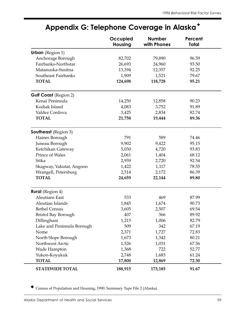|                              | Occupied<br><b>Housing</b> | <b>Number</b><br>with Phones | Percent<br>Total |
|------------------------------|----------------------------|------------------------------|------------------|
| <b>Urban</b> (Region 1)      |                            |                              |                  |
| Anchorage Borough            | 82,702                     | 79,890                       | 96.59            |
| Fairbanks-Northstar          | 26,693                     | 24,960                       | 93.50            |
| Matanuska-Susitna            | 13,394                     | 12,357                       | 92.25            |
| Southeast Fairbanks          | 1,909                      | 1,521                        | 79.67            |
| <b>TOTAL</b>                 | 124,698                    | 118,728                      | 95.21            |
| <b>Gulf Coast (Region 2)</b> |                            |                              |                  |
| Kenai Peninsula              | 14,250                     | 12,858                       | 90.23            |
| Kodiak Island                | 4,083                      | 3,752                        | 91.89            |
| Valdez Cordova               | 3,425                      | 2,834                        | 82.74            |
| <b>TOTAL</b>                 | 21,758                     | 19,444                       | 89.36            |
| <b>Southeast</b> (Region 3)  |                            |                              |                  |
| Haines Borough               | 791                        | 589                          | 74.46            |
| Juneau Borough               | 9,902                      | 9,422                        | 95.15            |
| Ketchikan Gateway            | 5,030                      | 4,720                        | 93.83            |
| <b>Prince of Wales</b>       | 2,061                      | 1,404                        | 68.12            |
| Sitka                        | 2,939                      | 2,720                        | 92.54            |
| Skagway, Yakutat, Angoon     | 1,422                      | 1,117                        | 78.55            |
| Wrangell, Petersburg         | 2,514                      | 2,172                        | 86.39            |
| <b>TOTAL</b>                 | 24,659                     | 22,144                       | 89.80            |
| <b>Rural</b> (Region 4)      |                            |                              |                  |
| <b>Aleutians East</b>        | 533                        | 469                          | 87.99            |
| Aleutian Islands             | 1,845                      | 1,674                        | 90.73            |
| <b>Bethel Census</b>         | 3,605                      | 2,507                        | 69.54            |
| <b>Bristol Bay Borough</b>   | 407                        | 366                          | 89.92            |
| Dillingham                   | 1,215                      | 1,006                        | 82.79            |
| Lake and Peninsula Borough   | 509                        | 342                          | 67.19            |
| Nome                         | 2,371                      | 1,727                        | 72.83            |
| North Slope Borough          | 1,673                      | 1,342                        | 80.21            |
| Northwest Arctic             | 1,526                      | 1,031                        | 67.56            |
| Wade Hampton                 | 1,368                      | 722                          | 52.77            |
| Yukon-Koyukuk                | 2,748                      | 1,683                        | 61.24            |
| <b>TOTAL</b>                 | 17,800                     | 12,869                       | 72.30            |
| <b>STATEWIDE TOTAL</b>       | 188,915                    | 173,185                      | 91.67            |

## Appendix G: Telephone Coverage in Alaska ◆

Census of Population and Housing, 1990: Summary Tape File 2 (Alaska).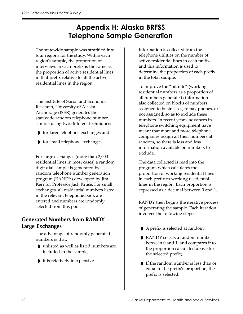## Appendix H: Alaska BRFSS Telephone Sample Generation

The statewide sample was stratified into four regions for the study. Within each region's sample, the proportion of interviews in each prefix is the same as the proportion of active residential lines in that prefix relative to all the active residential lines in the region.

The Institute of Social and Economic Research, University of Alaska Anchorage (ISER) generates the statewide random telephone number sample using two different techniques:

- ◗ for large telephone exchanges and
- ◗ for small telephone exchanges.

For large exchanges (more than 2,000 residential lines in most cases) a random digit dial sample is generated by random telephone number generation program (RANDY) developed by Jim Kerr for Professor Jack Kruse. For small exchanges, all residential numbers listed in the relevant telephone book are entered and numbers are randomly selected from this pool.

#### **Generated Numbers from RANDY – Large Exchanges**

The advantage of randomly generated numbers is that:

- ◗ unlisted as well as listed numbers are included in the sample;
- ◗ it is relatively inexpensive.

Information is collected from the telephone utilities on the number of active residential lines in each prefix, and this information is used to determine the proportion of each prefix in the total sample.

To improve the "hit rate" (working residential numbers as a proportion of all numbers generated) information is also collected on blocks of numbers assigned to businesses, to pay phones, or not assigned, so as to exclude these numbers. In recent years, advances in telephone switching equipment have meant that more and more telephone companies assign all their numbers at random, so there is less and less information available on numbers to exclude.

The data collected is read into the program, which calculates the proportion of working residential lines in each prefix to working residential lines in the region. Each proportion is expressed as a decimal between 0 and 1.

RANDY then begins the iterative process of generating the sample. Each iteration involves the following steps:

- ◗ A prefix is selected at random;
- ◗ RANDY selects a random number between 0 and 1, and compares it to the proportion calculated above for the selected prefix;
- ◗ If the random number is less than or equal to the prefix's proportion, the prefix is selected;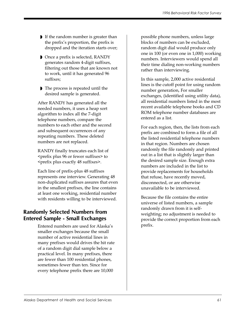- ◗ If the random number is greater than the prefix's proportion, the prefix is dropped and the iteration starts over;
- ◗ Once a prefix is selected, RANDY generates random 4-digit suffixes, filtering out those that are known not to work, until it has generated 96 suffixes;
- ◗ The process is repeated until the desired sample is generated.

After RANDY has generated all the needed numbers, it uses a heap sort algorithm to index all the 7-digit telephone numbers, compare the numbers to each other and the second and subsequent occurrences of any repeating numbers. These deleted numbers are not replaced.

RANDY finally truncates each list of <prefix plus 96 or fewer suffixes> to <prefix plus exactly 48 suffixes>.

Each line of prefix-plus 48 suffixes represents one interview. Generating 48 non-duplicated suffixes assures that even in the smallest prefixes, the line contains at least one working, residential number with residents willing to be interviewed.

#### **Randomly Selected Numbers from Entered Sample - Small Exchanges**

Entered numbers are used for Alaska's smaller exchanges because the small number of active residential lines in many prefixes would drives the hit rate of a random digit dial sample below a practical level. In many prefixes, there are fewer than 100 residential phones, sometimes fewer than ten. Since for every telephone prefix there are 10,000

possible phone numbers, unless large blocks of numbers can be excluded, random digit dial would produce only one in 100 (or even one in 1,000) working numbers. Interviewers would spend all their time dialing non-working numbers rather than interviewing.

In this sample, 2,000 active residential lines is the cutoff point for using random number generation, For smaller exchanges, (identified using utility data), all residential numbers listed in the most recent available telephone books and CD ROM telephone number databases are entered as a list.

For each region, then, the lists from each prefix are combined to form a file of all the listed residential telephone numbers in that region. Numbers are chosen randomly the file randomly and printed out in a list that is slightly larger than the desired sample size. Enough extra numbers are included in the list to provide replacements for households that refuse, have recently moved, disconnected, or are otherwise unavailable to be interviewed.

Because the file contains the entire universe of listed numbers, a sample randomly drawn from it is selfweighting; no adjustment is needed to provide the correct proportion from each prefix.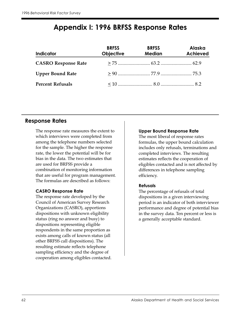## Appendix I: 1996 BRFSS Response Rates

| <b>Indicator</b>           | <b>BRFSS</b><br><b>Objective</b> | <b>BRFSS</b><br><b>Median</b> | <b>Alaska</b><br><b>Achieved</b> |
|----------------------------|----------------------------------|-------------------------------|----------------------------------|
| <b>CASRO Response Rate</b> |                                  |                               |                                  |
| <b>Upper Bound Rate</b>    |                                  |                               |                                  |
| <b>Percent Refusals</b>    |                                  |                               |                                  |

#### Response Rates

The response rate measures the extent to which interviews were completed from among the telephone numbers selected for the sample. The higher the response rate, the lower the potential will be for bias in the data. The two estimates that are used for BRFSS provide a combination of monitoring information that are useful for program management. The formulas are described as follows:

#### CASRO Response Rate

The response rate developed by the Council of American Survey Research Organizations (CASRO), apportions dispositions with unknown eligibility status (ring no answer and busy) to dispositions representing eligible respondents in the same proportion as exists among calls of known status (all other BRFSS call dispositions). The resulting estimate reflects telephone sampling efficiency and the degree of cooperation among eligibles contacted.

#### Upper Bound Response Rate

The most liberal of response rates formulas, the upper bound calculation includes only refusals, terminations and completed interviews. The resulting estimates reflects the cooperation of eligibles contacted and is not affected by differences in telephone sampling efficiency.

#### Refusals

The percentage of refusals of total dispositions in a given interviewing period is an indicator of both interviewer performance and degree of potential bias in the survey data. Ten percent or less is a generally acceptable standard.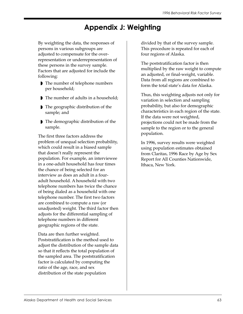## Appendix J: Weighting

By weighting the data, the responses of persons in various subgroups are adjusted to compensate for the overrepresentation or underrepresentation of these persons in the survey sample. Factors that are adjusted for include the following:

- ◗ The number of telephone numbers per household;
- ◗ The number of adults in a household;
- ◗ The geographic distribution of the sample; and
- ◗ The demographic distribution of the sample.

The first three factors address the problem of unequal selection probability, which could result in a biased sample that doesn't really represent the population. For example, an interviewee in a one-adult household has four times the chance of being selected for an interview as does an adult in a fouradult household. A household with two telephone numbers has twice the chance of being dialed as a household with one telephone number. The first two factors are combined to compute a raw (or unadjusted) weight. The third factor then adjusts for the differential sampling of telephone numbers in different geographic regions of the state.

Data are then further weighted. Poststratification is the method used to adjust the distribution of the sample data so that it reflects the total population of the sampled area. The poststratification factor is calculated by computing the ratio of the age, race, and sex distribution of the state population

divided by that of the survey sample. This procedure is repeated for each of four regions of Alaska.

The poststratification factor is then multiplied by the raw weight to compute an adjusted, or final-weight, variable. Data from all regions are combined to form the total state's data for Alaska.

Thus, this weighting adjusts not only for variation in selection and sampling probability, but also for demographic characteristics in each region of the state. If the data were not weighted, projections could not be made from the sample to the region or to the general population.

In 1996, survey results were weighted using population estimates obtained from Claritas, 1996 Race by Age by Sex Report for All Counties Nationwide, Ithaca, New York.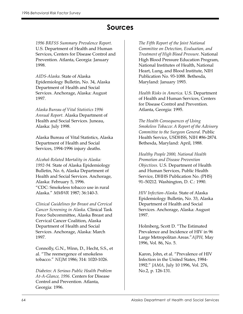## Sources

1996 BRFSS Summary Prevalence Report. U.S. Department of Health and Human Services, Centers for Disease Control and Prevention. Atlanta, Georgia: January 1998.

AIDS-Alaska. State of Alaska Epidemiology Bulletin, No. 34, Alaska Department of Health and Social Services. Anchorage, Alaska: August 1997.

Alaska Bureau of Vital Statistics 1996 Annual Report. Alaska Department of Health and Social Services. Juneau, Alaska: July 1998.

Alaska Bureau of Vital Statistics, Alaska Department of Health and Social Services, 1994-1996 injury deaths.

Alcohol-Related Mortality in Alaska: 1992-94. State of Alaska Epidemiology Bulletin, No. 6, Alaska Department of Health and Social Services. Anchorage, Alaska: February 5, 1996. "CDC: Smokeless tobacco use in rural Alaska." MMWR 1987; 36:140-3.

Clinical Guidelines for Breast and Cervical Cancer Screening in Alaska. Clinical Task Force Subcommittee, Alaska Breast and Cervical Cancer Coalition, Alaska Department of Health and Social Services. Anchorage, Alaska: March 1997.

Connolly, G.N., Winn, D., Hecht, S.S., et al. "The reemergence of smokeless tobacco." NEJM 1986; 314: 1020-1026.

Diabetes: A Serious Public Health Problem At-A-Glance, 1996. Centers for Disease Control and Prevention. Atlanta, Georgia: 1996.

The Fifth Report of the Joint National Committee on Detection, Evaluation, and Treatment of High Blood Pressure. National High Blood Pressure Education Program, National Institutes of Health, National Heart, Lung, and Blood Institute, NIH Publication No. 93-1088. Bethesda, Maryland: January 1993.

Health Risks in America. U.S. Department of Health and Human Services, Centers for Disease Control and Prevention. Atlanta, Georgia: 1995.

The Health Consequences of Using Smokeless Tobacco: A Report of the Advisory Committee to the Surgeon General. Public Health Service, USDHSS, NIH #86-2874. Bethesda, Maryland: April, 1988.

Healthy People 2000, National Health Promotion and Disease Prevention Objectives. U.S. Department of Health and Human Services, Public Health Service, DHHS Publication No. (PHS) 91–50212. Washington, D. C.: 1990.

HIV Infection-Alaska. State of Alaska Epidemiology Bulletin, No. 33, Alaska Department of Health and Social Services. Anchorage, Alaska: August 1997.

Holmberg, Scott D. "The Estimated Prevalence and Incidence of HIV in 96 Large Metropolitan Areas."AJPH, May 1996, Vol. 86, No. 5.

Karon, John, et al. "Prevalence of HIV Infection in the United States, 1984- 1992." JAMA, July 10 1996, Vol. 276, No.2, p. 126-131.